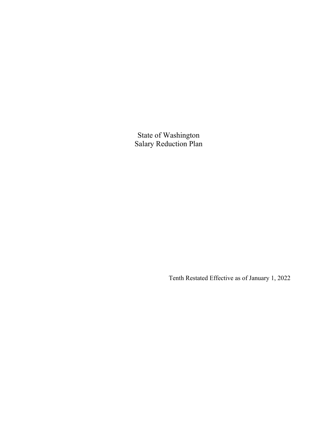State of Washington Salary Reduction Plan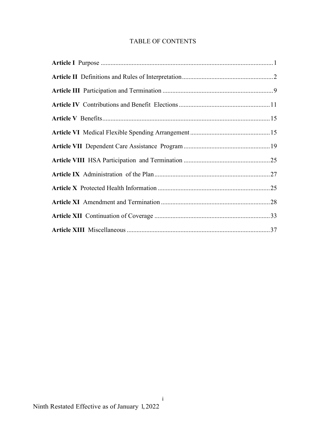# TABLE OF CONTENTS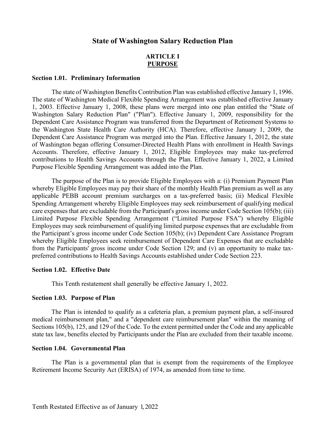# **State of Washington Salary Reduction Plan**

# **ARTICLE I PURPOSE**

### **Section 1.01. Preliminary Information**

The state of Washington Benefits Contribution Plan was established effective January 1, 1996. The state of Washington Medical Flexible Spending Arrangement was established effective January 1, 2003. Effective January 1, 2008, these plans were merged into one plan entitled the "State of Washington Salary Reduction Plan" ("Plan"). Effective January 1, 2009, responsibility for the Dependent Care Assistance Program was transferred from the Department of Retirement Systems to the Washington State Health Care Authority (HCA). Therefore, effective January 1, 2009, the Dependent Care Assistance Program was merged into the Plan. Effective January 1, 2012, the state of Washington began offering Consumer-Directed Health Plans with enrollment in Health Savings Accounts. Therefore, effective January 1, 2012, Eligible Employees may make tax-preferred contributions to Health Savings Accounts through the Plan. Effective January 1, 2022, a Limited Purpose Flexible Spending Arrangement was added into the Plan.

The purpose of the Plan is to provide Eligible Employees with a: (i) Premium Payment Plan whereby Eligible Employees may pay their share of the monthly Health Plan premium as well as any applicable PEBB account premium surcharges on a tax-preferred basis; (ii) Medical Flexible Spending Arrangement whereby Eligible Employees may seek reimbursement of qualifying medical care expenses that are excludable from the Participant's gross income under Code Section 105(b); (iii) Limited Purpose Flexible Spending Arrangement ("Limited Purpose FSA") whereby Eligible Employees may seek reimbursement of qualifying limited purpose expenses that are excludable from the Participant's gross income under Code Section 105(b); (iv) Dependent Care Assistance Program whereby Eligible Employees seek reimbursement of Dependent Care Expenses that are excludable from the Participants' gross income under Code Section 129; and (v) an opportunity to make taxpreferred contributions to Health Savings Accounts established under Code Section 223.

### **Section 1.02. Effective Date**

This Tenth restatement shall generally be effective January 1, 2022.

#### **Section 1.03. Purpose of Plan**

The Plan is intended to qualify as a cafeteria plan, a premium payment plan, a self-insured medical reimbursement plan," and a "dependent care reimbursement plan" within the meaning of Sections 105(b), 125, and 129 of the Code. To the extent permitted under the Code and any applicable state tax law, benefits elected by Participants under the Plan are excluded from their taxable income.

#### **Section 1.04. Governmental Plan**

The Plan is a governmental plan that is exempt from the requirements of the Employee Retirement Income Security Act (ERISA) of 1974, as amended from time to time.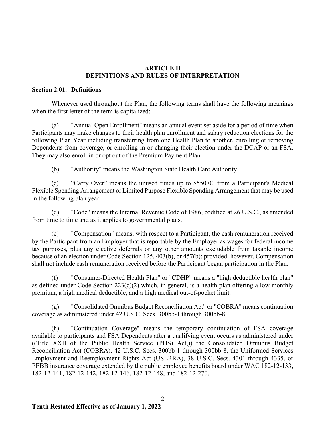# **ARTICLE II DEFINITIONS AND RULES OF INTERPRETATION**

# **Section 2.01. Definitions**

Whenever used throughout the Plan, the following terms shall have the following meanings when the first letter of the term is capitalized:

(a) "Annual Open Enrollment" means an annual event set aside for a period of time when Participants may make changes to their health plan enrollment and salary reduction elections for the following Plan Year including transferring from one Health Plan to another, enrolling or removing Dependents from coverage, or enrolling in or changing their election under the DCAP or an FSA. They may also enroll in or opt out of the Premium Payment Plan.

(b) "Authority" means the Washington State Health Care Authority.

(c) "Carry Over" means the unused funds up to \$550.00 from a Participant's Medical Flexible Spending Arrangement or Limited Purpose Flexible Spending Arrangement that may be used in the following plan year.

(d) "Code" means the Internal Revenue Code of 1986, codified at 26 U.S.C., as amended from time to time and as it applies to governmental plans.

(e) "Compensation" means, with respect to a Participant, the cash remuneration received by the Participant from an Employer that is reportable by the Employer as wages for federal income tax purposes, plus any elective deferrals or any other amounts excludable from taxable income because of an election under Code Section 125, 403(b), or 457(b); provided, however, Compensation shall not include cash remuneration received before the Participant began participation in the Plan.

(f) "Consumer-Directed Health Plan" or "CDHP" means a "high deductible health plan" as defined under Code Section  $223(c)(2)$  which, in general, is a health plan offering a low monthly premium, a high medical deductible, and a high medical out-of-pocket limit.

(g) "Consolidated Omnibus Budget Reconciliation Act" or "COBRA" means continuation coverage as administered under 42 U.S.C. Secs. 300bb-1 through 300bb-8.

(h) "Continuation Coverage" means the temporary continuation of FSA coverage available to participants and FSA Dependents after a qualifying event occurs as administered under ((Title XXII of the Public Health Service (PHS) Act,)) the Consolidated Omnibus Budget Reconciliation Act (COBRA), 42 U.S.C. Secs. 300bb-1 through 300bb-8, the Uniformed Services Employment and Reemployment Rights Act (USERRA), 38 U.S.C. Secs. 4301 through 4335, or PEBB insurance coverage extended by the public employee benefits board under WAC 182-12-133, 182-12-141, 182-12-142, 182-12-146, 182-12-148, and 182-12-270.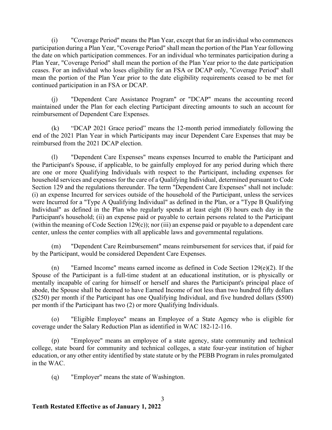(i) "Coverage Period" means the Plan Year, except that for an individual who commences participation during a Plan Year, "Coverage Period" shall mean the portion of the Plan Year following the date on which participation commences. For an individual who terminates participation during a Plan Year, "Coverage Period" shall mean the portion of the Plan Year prior to the date participation ceases. For an individual who loses eligibility for an FSA or DCAP only, "Coverage Period" shall mean the portion of the Plan Year prior to the date eligibility requirements ceased to be met for continued participation in an FSA or DCAP.

(j) "Dependent Care Assistance Program" or "DCAP" means the accounting record maintained under the Plan for each electing Participant directing amounts to such an account for reimbursement of Dependent Care Expenses.

(k) "DCAP 2021 Grace period" means the 12-month period immediately following the end of the 2021 Plan Year in which Participants may incur Dependent Care Expenses that may be reimbursed from the 2021 DCAP election.

(l) "Dependent Care Expenses" means expenses Incurred to enable the Participant and the Participant's Spouse, if applicable, to be gainfully employed for any period during which there are one or more Qualifying Individuals with respect to the Participant, including expenses for household services and expenses for the care of a Qualifying Individual, determined pursuant to Code Section 129 and the regulations thereunder. The term "Dependent Care Expenses" shall not include: (i) an expense Incurred for services outside of the household of the Participant, unless the services were Incurred for a "Type A Qualifying Individual" as defined in the Plan, or a "Type B Qualifying Individual" as defined in the Plan who regularly spends at least eight (8) hours each day in the Participant's household; (ii) an expense paid or payable to certain persons related to the Participant (within the meaning of Code Section 129(c)); nor (iii) an expense paid or payable to a dependent care center, unless the center complies with all applicable laws and governmental regulations.

(m) "Dependent Care Reimbursement" means reimbursement for services that, if paid for by the Participant, would be considered Dependent Care Expenses.

(n) "Earned Income" means earned income as defined in Code Section 129(e)(2). If the Spouse of the Participant is a full-time student at an educational institution, or is physically or mentally incapable of caring for himself or herself and shares the Participant's principal place of abode, the Spouse shall be deemed to have Earned Income of not less than two hundred fifty dollars (\$250) per month if the Participant has one Qualifying Individual, and five hundred dollars (\$500) per month if the Participant has two (2) or more Qualifying Individuals.

(o) "Eligible Employee" means an Employee of a State Agency who is eligible for coverage under the Salary Reduction Plan as identified in WAC 182-12-116.

"Employee" means an employee of a state agency, state community and technical college, state board for community and technical colleges, a state four-year institution of higher education, or any other entity identified by state statute or by the PEBB Program in rules promulgated in the WAC.

3

(q) "Employer" means the state of Washington.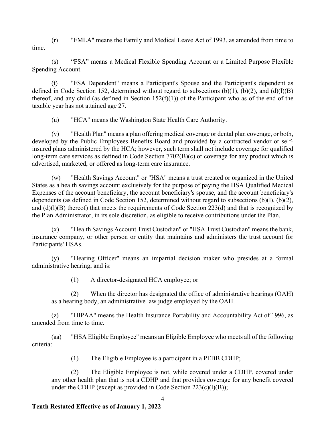(r) "FMLA" means the Family and Medical Leave Act of 1993, as amended from time to time.

(s) "FSA" means a Medical Flexible Spending Account or a Limited Purpose Flexible Spending Account.

(t) "FSA Dependent" means a Participant's Spouse and the Participant's dependent as defined in Code Section 152, determined without regard to subsections  $(b)(1)$ ,  $(b)(2)$ , and  $(d)(l)(B)$ thereof, and any child (as defined in Section  $152(f)(1)$ ) of the Participant who as of the end of the taxable year has not attained age 27.

(u) "HCA" means the Washington State Health Care Authority.

(v) "Health Plan" means a plan offering medical coverage or dental plan coverage, or both, developed by the Public Employees Benefits Board and provided by a contracted vendor or selfinsured plans administered by the HCA; however, such term shall not include coverage for qualified long-term care services as defined in Code Section 7702(B)(c) or coverage for any product which is advertised, marketed, or offered as long-term care insurance.

(w) "Health Savings Account" or "HSA" means a trust created or organized in the United States as a health savings account exclusively for the purpose of paying the HSA Qualified Medical Expenses of the account beneficiary, the account beneficiary's spouse, and the account beneficiary's dependents (as defined in Code Section 152, determined without regard to subsections (b)(l), (b)(2), and (d)(l)(B) thereof) that meets the requirements of Code Section 223(d) and that is recognized by the Plan Administrator, in its sole discretion, as eligible to receive contributions under the Plan.

(x) "Health Savings Account Trust Custodian" or "HSA Trust Custodian" means the bank, insurance company, or other person or entity that maintains and administers the trust account for Participants' HSAs.

(y) "Hearing Officer" means an impartial decision maker who presides at a formal administrative hearing, and is:

(1) A director-designated HCA employee; or

(2) When the director has designated the office of administrative hearings (OAH) as a hearing body, an administrative law judge employed by the OAH.

(z) "HIPAA" means the Health Insurance Portability and Accountability Act of 1996, as amended from time to time.

(aa) "HSA Eligible Employee" means an Eligible Employee who meets all of the following criteria:

(1) The Eligible Employee is a participant in a PEBB CDHP;

(2) The Eligible Employee is not, while covered under a CDHP, covered under any other health plan that is not a CDHP and that provides coverage for any benefit covered under the CDHP (except as provided in Code Section 223(c)(l)(B));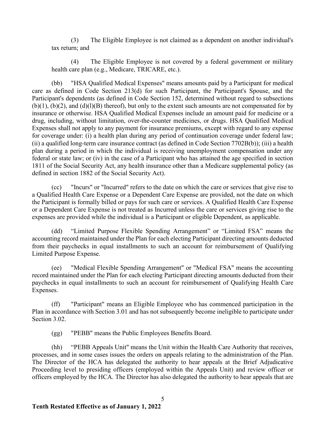(3) The Eligible Employee is not claimed as a dependent on another individual's tax return; and

(4) The Eligible Employee is not covered by a federal government or military health care plan (e.g., Medicare, TRICARE, etc.).

(bb) "HSA Qualified Medical Expenses" means amounts paid by a Participant for medical care as defined in Code Section 213(d) for such Participant, the Participant's Spouse, and the Participant's dependents (as defined in Code Section 152, determined without regard to subsections  $(b)(1)$ ,  $(b)(2)$ , and  $(d)(l)(B)$  thereof), but only to the extent such amounts are not compensated for by insurance or otherwise. HSA Qualified Medical Expenses include an amount paid for medicine or a drug, including, without limitation, over-the-counter medicines, or drugs. HSA Qualified Medical Expenses shall not apply to any payment for insurance premiums, except with regard to any expense for coverage under: (i) a health plan during any period of continuation coverage under federal law; (ii) a qualified long-term care insurance contract (as defined in Code Section 7702B(b)); (iii) a health plan during a period in which the individual is receiving unemployment compensation under any federal or state law; or (iv) in the case of a Participant who has attained the age specified in section 1811 of the Social Security Act, any health insurance other than a Medicare supplemental policy (as defined in section 1882 of the Social Security Act).

(cc) "Incurs" or "Incurred" refers to the date on which the care or services that give rise to a Qualified Health Care Expense or a Dependent Care Expense are provided, not the date on which the Participant is formally billed or pays for such care or services. A Qualified Health Care Expense or a Dependent Care Expense is not treated as Incurred unless the care or services giving rise to the expenses are provided while the individual is a Participant or eligible Dependent, as applicable.

(dd) "Limited Purpose Flexible Spending Arrangement" or "Limited FSA" means the accounting record maintained under the Plan for each electing Participant directing amounts deducted from their paychecks in equal installments to such an account for reimbursement of Qualifying Limited Purpose Expense.

(ee) "Medical Flexible Spending Arrangement" or "Medical FSA" means the accounting record maintained under the Plan for each electing Participant directing amounts deducted from their paychecks in equal installments to such an account for reimbursement of Qualifying Health Care Expenses.

(ff) "Participant" means an Eligible Employee who has commenced participation in the Plan in accordance with Section 3.01 and has not subsequently become ineligible to participate under Section 3.02.

(gg) "PEBB" means the Public Employees Benefits Board.

(hh) "PEBB Appeals Unit" means the Unit within the Health Care Authority that receives, processes, and in some cases issues the orders on appeals relating to the administration of the Plan. The Director of the HCA has delegated the authority to hear appeals at the Brief Adjudicative Proceeding level to presiding officers (employed within the Appeals Unit) and review officer or officers employed by the HCA. The Director has also delegated the authority to hear appeals that are

5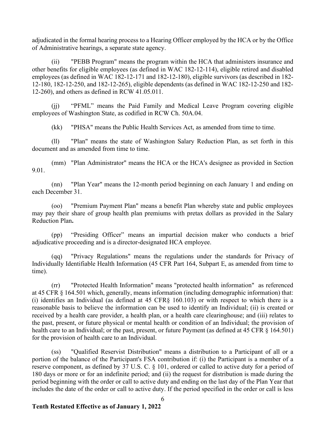adjudicated in the formal hearing process to a Hearing Officer employed by the HCA or by the Office of Administrative hearings, a separate state agency.

(ii) "PEBB Program" means the program within the HCA that administers insurance and other benefits for eligible employees (as defined in WAC 182-12-114), eligible retired and disabled employees (as defined in WAC 182-12-171 and 182-12-180), eligible survivors (as described in 182- 12-180, 182-12-250, and 182-12-265), eligible dependents (as defined in WAC 182-12-250 and 182- 12-260), and others as defined in RCW 41.05.011.

(jj) "PFML" means the Paid Family and Medical Leave Program covering eligible employees of Washington State, as codified in RCW Ch. 50A.04.

(kk) "PHSA" means the Public Health Services Act, as amended from time to time.

(ll) "Plan" means the state of Washington Salary Reduction Plan, as set forth in this document and as amended from time to time.

(mm) "Plan Administrator" means the HCA or the HCA's designee as provided in Section 9.01.

(nn) "Plan Year" means the 12-month period beginning on each January 1 and ending on each December 31.

(oo) "Premium Payment Plan" means a benefit Plan whereby state and public employees may pay their share of group health plan premiums with pretax dollars as provided in the Salary Reduction Plan**.**

(pp) "Presiding Officer" means an impartial decision maker who conducts a brief adjudicative proceeding and is a director-designated HCA employee.

(qq) "Privacy Regulations" means the regulations under the standards for Privacy of Individually Identifiable Health Information (45 CFR Part 164, Subpart E, as amended from time to time).

(rr) "Protected Health Information" means "protected health information" as referenced at 45 CFR § 164.501 which, generally, means information (including demographic information) that: (i) identifies an Individual (as defined at 45 CFR§ 160.103) or with respect to which there is a reasonable basis to believe the information can be used to identify an Individual; (ii) is created or received by a health care provider, a health plan, or a health care clearinghouse; and (iii) relates to the past, present, or future physical or mental health or condition of an Individual; the provision of health care to an Individual; or the past, present, or future Payment (as defined at 45 CFR § 164.501) for the provision of health care to an Individual.

(ss) "Qualified Reservist Distribution" means a distribution to a Participant of all or a portion of the balance of the Participant's FSA contribution if: (i) the Participant is a member of a reserve component, as defined by 37 U.S. C. § 101, ordered or called to active duty for a period of 180 days or more or for an indefinite period; and (ii) the request for distribution is made during the period beginning with the order or call to active duty and ending on the last day of the Plan Year that includes the date of the order or call to active duty. If the period specified in the order or call is less

6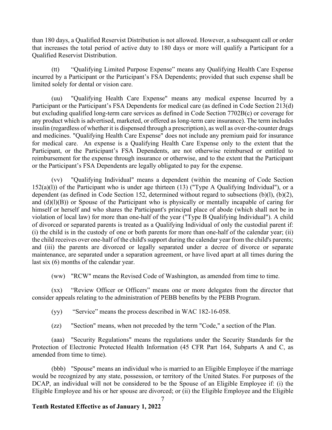than 180 days, a Qualified Reservist Distribution is not allowed. However, a subsequent call or order that increases the total period of active duty to 180 days or more will qualify a Participant for a Qualified Reservist Distribution.

(tt) "Qualifying Limited Purpose Expense" means any Qualifying Health Care Expense incurred by a Participant or the Participant's FSA Dependents; provided that such expense shall be limited solely for dental or vision care.

(uu) "Qualifying Health Care Expense" means any medical expense Incurred by a Participant or the Participant's FSA Dependents for medical care (as defined in Code Section 213(d) but excluding qualified long-term care services as defined in Code Section 7702B(c) or coverage for any product which is advertised, marketed, or offered as long-term care insurance). The term includes insulin (regardless of whether it is dispensed through a prescription), as well as over-the-counter drugs and medicines. "Qualifying Health Care Expense" does not include any premium paid for insurance for medical care. An expense is a Qualifying Health Care Expense only to the extent that the Participant, or the Participant's FSA Dependents, are not otherwise reimbursed or entitled to reimbursement for the expense through insurance or otherwise, and to the extent that the Participant or the Participant's FSA Dependents are legally obligated to pay for the expense.

(vv) "Qualifying Individual" means a dependent (within the meaning of Code Section  $152(a)(1)$ ) of the Participant who is under age thirteen (13) ("Type A Qualifying Individual"), or a dependent (as defined in Code Section 152, determined without regard to subsections (b)(l), (b)(2), and  $(d)(l)(B)$ ) or Spouse of the Participant who is physically or mentally incapable of caring for himself or herself and who shares the Participant's principal place of abode (which shall not be in violation of local law) for more than one-half of the year ("Type B Qualifying Individual"). A child of divorced or separated parents is treated as a Qualifying Individual of only the custodial parent if: (i) the child is in the custody of one or both parents for more than one-half of the calendar year; (ii) the child receives over one-half of the child's support during the calendar year from the child's parents; and (iii) the parents are divorced or legally separated under a decree of divorce or separate maintenance, are separated under a separation agreement, or have lived apart at all times during the last six (6) months of the calendar year.

(ww) "RCW" means the Revised Code of Washington, as amended from time to time.

(xx) "Review Officer or Officers" means one or more delegates from the director that consider appeals relating to the administration of PEBB benefits by the PEBB Program.

(yy) "Service" means the process described in WAC 182-16-058.

(zz) "Section" means, when not preceded by the term "Code," a section of the Plan.

(aaa) "Security Regulations" means the regulations under the Security Standards for the Protection of Electronic Protected Health Information (45 CFR Part 164, Subparts A and C, as amended from time to time).

(bbb) "Spouse" means an individual who is married to an Eligible Employee if the marriage would be recognized by any state, possession, or territory of the United States. For purposes of the DCAP, an individual will not be considered to be the Spouse of an Eligible Employee if: (i) the Eligible Employee and his or her spouse are divorced; or (ii) the Eligible Employee and the Eligible

7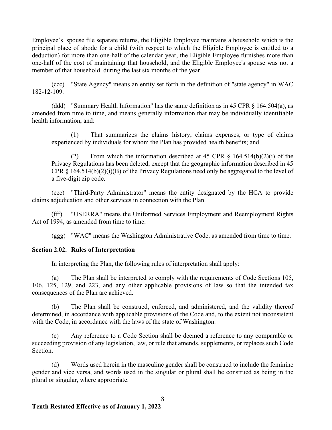Employee's spouse file separate returns, the Eligible Employee maintains a household which is the principal place of abode for a child (with respect to which the Eligible Employee is entitled to a deduction) for more than one-half of the calendar year, the Eligible Employee furnishes more than one-half of the cost of maintaining that household, and the Eligible Employee's spouse was not a member of that household during the last six months of the year.

(ccc) "State Agency" means an entity set forth in the definition of "state agency" in WAC 182-12-109.

(ddd) "Summary Health Information" has the same definition as in 45 CPR  $\S$  164.504(a), as amended from time to time, and means generally information that may be individually identifiable health information, and:

(1) That summarizes the claims history, claims expenses, or type of claims experienced by individuals for whom the Plan has provided health benefits; and

(2) From which the information described at 45 CPR  $\S$  164.514(b)(2)(i) of the Privacy Regulations has been deleted, except that the geographic information described in 45 CPR  $\S$  164.514(b)(2)(i)(B) of the Privacy Regulations need only be aggregated to the level of a five-digit zip code.

(eee) "Third-Party Administrator" means the entity designated by the HCA to provide claims adjudication and other services in connection with the Plan.

(fff) "USERRA" means the Uniformed Services Employment and Reemployment Rights Act of 1994, as amended from time to time.

(ggg) "WAC" means the Washington Administrative Code, as amended from time to time.

### **Section 2.02. Rules of Interpretation**

In interpreting the Plan, the following rules of interpretation shall apply:

(a) The Plan shall be interpreted to comply with the requirements of Code Sections 105, 106, 125, 129, and 223, and any other applicable provisions of law so that the intended tax consequences of the Plan are achieved.

(b) The Plan shall be construed, enforced, and administered, and the validity thereof determined, in accordance with applicable provisions of the Code and, to the extent not inconsistent with the Code, in accordance with the laws of the state of Washington.

(c) Any reference to a Code Section shall be deemed a reference to any comparable or succeeding provision of any legislation, law, or rule that amends, supplements, or replaces such Code Section.

(d) Words used herein in the masculine gender shall be construed to include the feminine gender and vice versa, and words used in the singular or plural shall be construed as being in the plural or singular, where appropriate.

8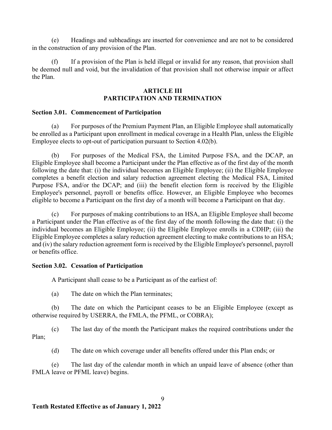(e) Headings and subheadings are inserted for convenience and are not to be considered in the construction of any provision of the Plan.

(f) If a provision of the Plan is held illegal or invalid for any reason, that provision shall be deemed null and void, but the invalidation of that provision shall not otherwise impair or affect the Plan.

# **ARTICLE III PARTICIPATION AND TERMINATION**

# **Section 3.01. Commencement of Participation**

(a) For purposes of the Premium Payment Plan, an Eligible Employee shall automatically be enrolled as a Participant upon enrollment in medical coverage in a Health Plan, unless the Eligible Employee elects to opt-out of participation pursuant to Section 4.02(b).

(b) For purposes of the Medical FSA, the Limited Purpose FSA, and the DCAP, an Eligible Employee shall become a Participant under the Plan effective as of the first day of the month following the date that: (i) the individual becomes an Eligible Employee; (ii) the Eligible Employee completes a benefit election and salary reduction agreement electing the Medical FSA, Limited Purpose FSA, and/or the DCAP; and (iii) the benefit election form is received by the Eligible Employee's personnel, payroll or benefits office. However, an Eligible Employee who becomes eligible to become a Participant on the first day of a month will become a Participant on that day.

(c) For purposes of making contributions to an HSA, an Eligible Employee shall become a Participant under the Plan effective as of the first day of the month following the date that: (i) the individual becomes an Eligible Employee; (ii) the Eligible Employee enrolls in a CDHP; (iii) the Eligible Employee completes a salary reduction agreement electing to make contributions to an HSA; and (iv) the salary reduction agreement form is received by the Eligible Employee's personnel, payroll or benefits office.

# **Section 3.02. Cessation of Participation**

A Participant shall cease to be a Participant as of the earliest of:

(a) The date on which the Plan terminates;

(b) The date on which the Participant ceases to be an Eligible Employee (except as otherwise required by USERRA, the FMLA, the PFML, or COBRA);

(c) The last day of the month the Participant makes the required contributions under the Plan;

(d) The date on which coverage under all benefits offered under this Plan ends; or

(e) The last day of the calendar month in which an unpaid leave of absence (other than FMLA leave or PFML leave) begins.

9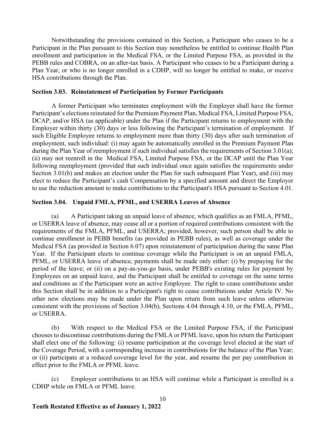Notwithstanding the provisions contained in this Section, a Participant who ceases to be a Participant in the Plan pursuant to this Section may nonetheless be entitled to continue Health Plan enrollment and participation in the Medical FSA, or the Limited Purpose FSA, as provided in the PEBB rules and COBRA, on an after-tax basis. A Participant who ceases to be a Participant during a Plan Year, or who is no longer enrolled in a CDHP, will no longer be entitled to make, or receive HSA contributions through the Plan.

### **Section 3.03. Reinstatement of Participation by Former Participants**

A former Participant who terminates employment with the Employer shall have the former Participant's elections reinstated for the Premium Payment Plan, Medical FSA, Limited Purpose FSA, DCAP, and/or HSA (as applicable) under the Plan if the Participant returns to employment with the Employer within thirty (30) days or less following the Participant's termination of employment. If such Eligible Employee returns to employment more than thirty (30) days after such termination of employment, such individual: (i) may again be automatically enrolled in the Premium Payment Plan during the Plan Year of reemployment if such individual satisfies the requirements of Section 3.01(a); (ii) may not reenroll in the Medical FSA, Limited Purpose FSA, or the DCAP until the Plan Year following reemployment (provided that such individual once again satisfies the requirements under Section 3.01(b) and makes an election under the Plan for such subsequent Plan Year), and (iii) may elect to reduce the Participant's cash Compensation by a specified amount and direct the Employer to use the reduction amount to make contributions to the Participant's HSA pursuant to Section 4.01.

# **Section 3.04. Unpaid FMLA, PFML, and USERRA Leaves of Absence**

(a) A Participant taking an unpaid leave of absence, which qualifies as an FMLA, PFML, or USERRA leave of absence, may cease all or a portion of required contributions consistent with the requirements of the FMLA, PFML, and USERRA; provided, however, such person shall be able to continue enrollment in PEBB benefits (as provided in PEBB rules), as well as coverage under the Medical FSA (as provided in Section 6.07) upon reinstatement of participation during the same Plan Year. If the Participant elects to continue coverage while the Participant is on an unpaid FMLA, PFML, or USERRA leave of absence, payments shall be made only either: (i) by prepaying for the period of the leave; or (ii) on a pay-as-you-go basis, under PEBB's existing rules for payment by Employees on an unpaid leave, and the Participant shall be entitled to coverage on the same terms and conditions as if the Participant were an active Employee. The right to cease contributions under this Section shall be in addition to a Participant's right to cease contributions under Article IV. No other new elections may be made under the Plan upon return from such leave unless otherwise consistent with the provisions of Section 3.04(b), Sections 4.04 through 4.10, or the FMLA, PFML, or USERRA.

(b) With respect to the Medical FSA or the Limited Purpose FSA, if the Participant chooses to discontinue contributions during the FMLA or PFML leave, upon his return the Participant shall elect one of the following: (i) resume participation at the coverage level elected at the start of the Coverage Period, with a corresponding increase in contributions for the balance of the Plan Year; or (ii) participate at a reduced coverage level for the year, and resume the per pay contribution in effect prior to the FMLA or PFML leave.

(c) Employer contributions to an HSA will continue while a Participant is enrolled in a CDHP while on FMLA or PFML leave.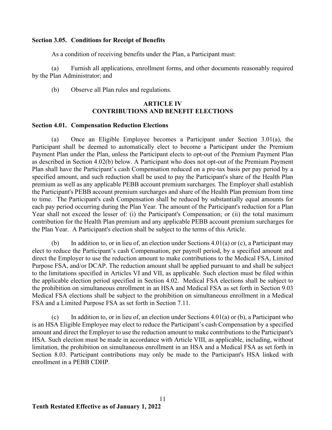# **Section 3.05. Conditions for Receipt of Benefits**

As a condition of receiving benefits under the Plan, a Participant must:

(a) Furnish all applications, enrollment forms, and other documents reasonably required by the Plan Administrator; and

(b) Observe all Plan rules and regulations.

# **ARTICLE IV CONTRIBUTIONS AND BENEFIT ELECTIONS**

### **Section 4.01. Compensation Reduction Elections**

(a) Once an Eligible Employee becomes a Participant under Section 3.01(a), the Participant shall be deemed to automatically elect to become a Participant under the Premium Payment Plan under the Plan, unless the Participant elects to opt-out of the Premium Payment Plan as described in Section 4.02(b) below. A Participant who does not opt-out of the Premium Payment Plan shall have the Participant's cash Compensation reduced on a pre-tax basis per pay period by a specified amount, and such reduction shall be used to pay the Participant's share of the Health Plan premium as well as any applicable PEBB account premium surcharges. The Employer shall establish the Participant's PEBB account premium surcharges and share of the Health Plan premium from time to time. The Participant's cash Compensation shall be reduced by substantially equal amounts for each pay period occurring during the Plan Year. The amount of the Participant's reduction for a Plan Year shall not exceed the lesser of: (i) the Participant's Compensation; or (ii) the total maximum contribution for the Health Plan premium and any applicable PEBB account premium surcharges for the Plan Year. A Participant's election shall be subject to the terms of this Article.

(b) In addition to, or in lieu of, an election under Sections  $4.01(a)$  or (c), a Participant may elect to reduce the Participant's cash Compensation, per payroll period, by a specified amount and direct the Employer to use the reduction amount to make contributions to the Medical FSA, Limited Purpose FSA, and/or DCAP. The reduction amount shall be applied pursuant to and shall be subject to the limitations specified in Articles VI and VII, as applicable. Such election must be filed within the applicable election period specified in Section 4.02. Medical FSA elections shall be subject to the prohibition on simultaneous enrollment in an HSA and Medical FSA as set forth in Section 9.03 Medical FSA elections shall be subject to the prohibition on simultaneous enrollment in a Medical FSA and a Limited Purpose FSA as set forth in Section 7.11.

(c) In addition to, or in lieu of, an election under Sections  $4.01(a)$  or (b), a Participant who is an HSA Eligible Employee may elect to reduce the Participant's cash Compensation by a specified amount and direct the Employer to use the reduction amount to make contributions to the Participant's HSA. Such election must be made in accordance with Article VIII, as applicable, including, without limitation, the prohibition on simultaneous enrollment in an HSA and a Medical FSA as set forth in Section 8.03. Participant contributions may only be made to the Participant's HSA linked with enrollment in a PEBB CDHP.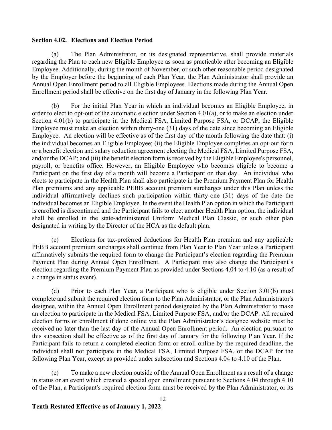# **Section 4.02. Elections and Election Period**

(a) The Plan Administrator, or its designated representative, shall provide materials regarding the Plan to each new Eligible Employee as soon as practicable after becoming an Eligible Employee. Additionally, during the month of November, or such other reasonable period designated by the Employer before the beginning of each Plan Year, the Plan Administrator shall provide an Annual Open Enrollment period to all Eligible Employees. Elections made during the Annual Open Enrollment period shall be effective on the first day of January in the following Plan Year.

(b) For the initial Plan Year in which an individual becomes an Eligible Employee, in order to elect to opt-out of the automatic election under Section 4.01(a), or to make an election under Section 4.01(b) to participate in the Medical FSA, Limited Purpose FSA, or DCAP, the Eligible Employee must make an election within thirty-one (31) days of the date since becoming an Eligible Employee. An election will be effective as of the first day of the month following the date that: (i) the individual becomes an Eligible Employee; (ii) the Eligible Employee completes an opt-out form or a benefit election and salary reduction agreement electing the Medical FSA, Limited Purpose FSA, and/or the DCAP; and (iii) the benefit election form is received by the Eligible Employee's personnel, payroll, or benefits office. However, an Eligible Employee who becomes eligible to become a Participant on the first day of a month will become a Participant on that day. An individual who elects to participate in the Health Plan shall also participate in the Premium Payment Plan for Health Plan premiums and any applicable PEBB account premium surcharges under this Plan unless the individual affirmatively declines such participation within thirty-one (31) days of the date the individual becomes an Eligible Employee. In the event the Health Plan option in which the Participant is enrolled is discontinued and the Participant fails to elect another Health Plan option, the individual shall be enrolled in the state-administered Uniform Medical Plan Classic, or such other plan designated in writing by the Director of the HCA as the default plan.

(c) Elections for tax-preferred deductions for Health Plan premium and any applicable PEBB account premium surcharges shall continue from Plan Year to Plan Year unless a Participant affirmatively submits the required form to change the Participant's election regarding the Premium Payment Plan during Annual Open Enrollment. A Participant may also change the Participant's election regarding the Premium Payment Plan as provided under Sections 4.04 to 4.10 (as a result of a change in status event).

(d) Prior to each Plan Year, a Participant who is eligible under Section 3.01(b) must complete and submit the required election form to the Plan Administrator, or the Plan Administrator's designee, within the Annual Open Enrollment period designated by the Plan Administrator to make an election to participate in the Medical FSA, Limited Purpose FSA, and/or the DCAP. All required election forms or enrollment if done online via the Plan Administrator's designee website must be received no later than the last day of the Annual Open Enrollment period. An election pursuant to this subsection shall be effective as of the first day of January for the following Plan Year. If the Participant fails to return a completed election form or enroll online by the required deadline, the individual shall not participate in the Medical FSA, Limited Purpose FSA, or the DCAP for the following Plan Year, except as provided under subsection and Sections 4.04 to 4.10 of the Plan.

(e) To make a new election outside of the Annual Open Enrollment as a result of a change in status or an event which created a special open enrollment pursuant to Sections 4.04 through 4.10 of the Plan, a Participant's required election form must be received by the Plan Administrator, or its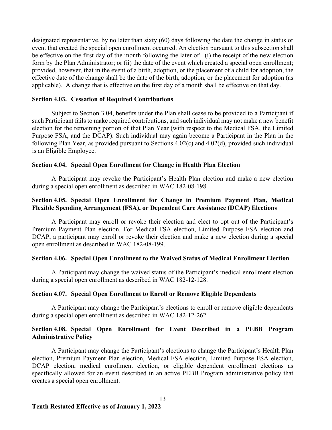designated representative, by no later than sixty (60) days following the date the change in status or event that created the special open enrollment occurred. An election pursuant to this subsection shall be effective on the first day of the month following the later of: (i) the receipt of the new election form by the Plan Administrator; or (ii) the date of the event which created a special open enrollment; provided, however, that in the event of a birth, adoption, or the placement of a child for adoption, the effective date of the change shall be the date of the birth, adoption, or the placement for adoption (as applicable). A change that is effective on the first day of a month shall be effective on that day.

### **Section 4.03. Cessation of Required Contributions**

Subject to Section 3.04, benefits under the Plan shall cease to be provided to a Participant if such Participant fails to make required contributions, and such individual may not make a new benefit election for the remaining portion of that Plan Year (with respect to the Medical FSA, the Limited Purpose FSA, and the DCAP). Such individual may again become a Participant in the Plan in the following Plan Year, as provided pursuant to Sections 4.02(c) and 4.02(d), provided such individual is an Eligible Employee.

### **Section 4.04. Special Open Enrollment for Change in Health Plan Election**

A Participant may revoke the Participant's Health Plan election and make a new election during a special open enrollment as described in WAC 182-08-198.

# **Section 4.05. Special Open Enrollment for Change in Premium Payment Plan, Medical Flexible Spending Arrangement (FSA), or Dependent Care Assistance (DCAP) Elections**

A Participant may enroll or revoke their election and elect to opt out of the Participant's Premium Payment Plan election. For Medical FSA election, Limited Purpose FSA election and DCAP, a participant may enroll or revoke their election and make a new election during a special open enrollment as described in WAC 182-08-199.

### **Section 4.06. Special Open Enrollment to the Waived Status of Medical Enrollment Election**

A Participant may change the waived status of the Participant's medical enrollment election during a special open enrollment as described in WAC 182-12-128.

### **Section 4.07. Special Open Enrollment to Enroll or Remove Eligible Dependents**

A Participant may change the Participant's elections to enroll or remove eligible dependents during a special open enrollment as described in WAC 182-12-262.

# **Section 4.08. Special Open Enrollment for Event Described in a PEBB Program Administrative Policy**

A Participant may change the Participant's elections to change the Participant's Health Plan election, Premium Payment Plan election, Medical FSA election, Limited Purpose FSA election, DCAP election, medical enrollment election, or eligible dependent enrollment elections as specifically allowed for an event described in an active PEBB Program administrative policy that creates a special open enrollment.

13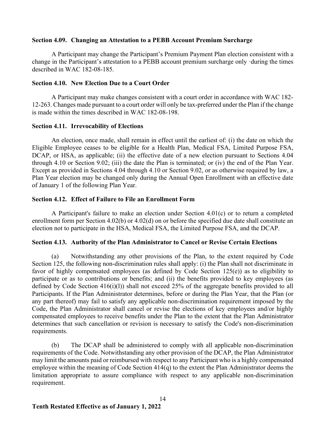## **Section 4.09. Changing an Attestation to a PEBB Account Premium Surcharge**

A Participant may change the Participant's Premium Payment Plan election consistent with a change in the Participant's attestation to a PEBB account premium surcharge only ·during the times described in WAC 182-08-185.

### **Section 4.10. New Election Due to a Court Order**

A Participant may make changes consistent with a court order in accordance with WAC 182- 12-263. Changes made pursuant to a court order will only be tax-preferred under the Plan if the change is made within the times described in WAC 182-08-198.

## **Section 4.11. Irrevocability of Elections**

An election, once made, shall remain in effect until the earliest of: (i) the date on which the Eligible Employee ceases to be eligible for a Health Plan, Medical FSA, Limited Purpose FSA, DCAP, or HSA, as applicable; (ii) the effective date of a new election pursuant to Sections 4.04 through 4.10 or Section 9.02; (iii) the date the Plan is terminated; or (iv) the end of the Plan Year. Except as provided in Sections 4.04 through 4.10 or Section 9.02, or as otherwise required by law, a Plan Year election may be changed only during the Annual Open Enrollment with an effective date of January 1 of the following Plan Year.

## **Section 4.12. Effect of Failure to File an Enrollment Form**

A Participant's failure to make an election under Section 4.01(c) or to return a completed enrollment form per Section 4.02(b) or 4.02(d) on or before the specified due date shall constitute an election not to participate in the HSA, Medical FSA, the Limited Purpose FSA, and the DCAP.

# **Section 4.13. Authority of the Plan Administrator to Cancel or Revise Certain Elections**

(a) Notwithstanding any other provisions of the Plan, to the extent required by Code Section 125, the following non-discrimination rules shall apply: (i) the Plan shall not discriminate in favor of highly compensated employees (as defined by Code Section 125(e)) as to eligibility to participate or as to contributions or benefits; and (ii) the benefits provided to key employees (as defined by Code Section 416(i)(l)) shall not exceed 25% of the aggregate benefits provided to all Participants. If the Plan Administrator determines, before or during the Plan Year, that the Plan (or any part thereof) may fail to satisfy any applicable non-discrimination requirement imposed by the Code, the Plan Administrator shall cancel or revise the elections of key employees and/or highly compensated employees to receive benefits under the Plan to the extent that the Plan Administrator determines that such cancellation or revision is necessary to satisfy the Code's non-discrimination requirements.

(b) The DCAP shall be administered to comply with all applicable non-discrimination requirements of the Code. Notwithstanding any other provision of the DCAP, the Plan Administrator may limit the amounts paid or reimbursed with respect to any Participant who is a highly compensated employee within the meaning of Code Section 414(q) to the extent the Plan Administrator deems the limitation appropriate to assure compliance with respect to any applicable non-discrimination requirement.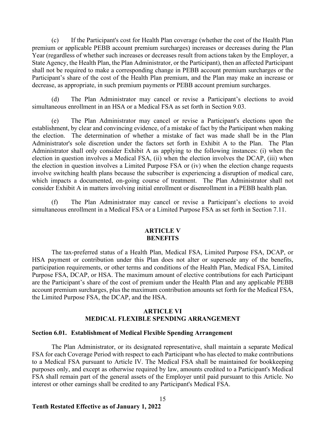(c) If the Participant's cost for Health Plan coverage (whether the cost of the Health Plan premium or applicable PEBB account premium surcharges) increases or decreases during the Plan Year (regardless of whether such increases or decreases result from actions taken by the Employer, a State Agency, the Health Plan, the Plan Administrator, or the Participant), then an affected Participant shall not be required to make a corresponding change in PEBB account premium surcharges or the Participant's share of the cost of the Health Plan premium, and the Plan may make an increase or decrease, as appropriate, in such premium payments or PEBB account premium surcharges.

(d) The Plan Administrator may cancel or revise a Participant's elections to avoid simultaneous enrollment in an HSA or a Medical FSA as set forth in Section 9.03.

(e) The Plan Administrator may cancel or revise a Participant's elections upon the establishment, by clear and convincing evidence, of a mistake of fact by the Participant when making the election. The determination of whether a mistake of fact was made shall be in the Plan Administrator's sole discretion under the factors set forth in Exhibit A to the Plan. The Plan Administrator shall only consider Exhibit A as applying to the following instances: (i) when the election in question involves a Medical FSA, (ii) when the election involves the DCAP, (iii) when the election in question involves a Limited Purpose FSA or (iv) when the election change requests involve switching health plans because the subscriber is experiencing a disruption of medical care, which impacts a documented, on-going course of treatment. The Plan Administrator shall not consider Exhibit A in matters involving initial enrollment or disenrollment in a PEBB health plan.

(f) The Plan Administrator may cancel or revise a Participant's elections to avoid simultaneous enrollment in a Medical FSA or a Limited Purpose FSA as set forth in Section 7.11.

### **ARTICLE V BENEFITS**

The tax-preferred status of a Health Plan, Medical FSA, Limited Purpose FSA, DCAP, or HSA payment or contribution under this Plan does not alter or supersede any of the benefits, participation requirements, or other terms and conditions of the Health Plan, Medical FSA, Limited Purpose FSA, DCAP, or HSA. The maximum amount of elective contributions for each Participant are the Participant's share of the cost of premium under the Health Plan and any applicable PEBB account premium surcharges, plus the maximum contribution amounts set forth for the Medical FSA, the Limited Purpose FSA, the DCAP, and the HSA.

# **ARTICLE VI MEDICAL FLEXIBLE SPENDING ARRANGEMENT**

### **Section 6.01. Establishment of Medical Flexible Spending Arrangement**

The Plan Administrator, or its designated representative, shall maintain a separate Medical FSA for each Coverage Period with respect to each Participant who has elected to make contributions to a Medical FSA pursuant to Article IV. The Medical FSA shall be maintained for bookkeeping purposes only, and except as otherwise required by law, amounts credited to a Participant's Medical FSA shall remain part of the general assets of the Employer until paid pursuant to this Article. No interest or other earnings shall be credited to any Participant's Medical FSA.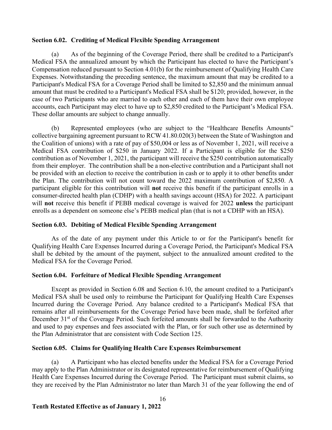# **Section 6.02. Crediting of Medical Flexible Spending Arrangement**

(a) As of the beginning of the Coverage Period, there shall be credited to a Participant's Medical FSA the annualized amount by which the Participant has elected to have the Participant's Compensation reduced pursuant to Section 4.01(b) for the reimbursement of Qualifying Health Care Expenses. Notwithstanding the preceding sentence, the maximum amount that may be credited to a Participant's Medical FSA for a Coverage Period shall be limited to \$2,850 and the minimum annual amount that must be credited to a Participant's Medical FSA shall be \$120; provided, however, in the case of two Participants who are married to each other and each of them have their own employee accounts, each Participant may elect to have up to \$2,850 credited to the Participant's Medical FSA. These dollar amounts are subject to change annually.

(b) Represented employees (who are subject to the "Healthcare Benefits Amounts" collective bargaining agreement pursuant to RCW 41.80.020(3) between the State of Washington and the Coalition of unions) with a rate of pay of \$50,004 or less as of November 1, 2021, will receive a Medical FSA contribution of \$250 in January 2022. If a Participant is eligible for the \$250 contribution as of November 1, 2021, the participant will receive the \$250 contribution automatically from their employer. The contribution shall be a non-elective contribution and a Participant shall not be provided with an election to receive the contribution in cash or to apply it to other benefits under the Plan. The contribution will not count toward the 2022 maximum contribution of \$2,850. A participant eligible for this contribution will **not** receive this benefit if the participant enrolls in a consumer-directed health plan (CDHP) with a health savings account (HSA) for 2022. A participant will **not** receive this benefit if PEBB medical coverage is waived for 2022 **unless** the participant enrolls as a dependent on someone else's PEBB medical plan (that is not a CDHP with an HSA).

# **Section 6.03. Debiting of Medical Flexible Spending Arrangement**

As of the date of any payment under this Article to or for the Participant's benefit for Qualifying Health Care Expenses Incurred during a Coverage Period, the Participant's Medical FSA shall be debited by the amount of the payment, subject to the annualized amount credited to the Medical FSA for the Coverage Period.

# **Section 6.04. Forfeiture of Medical Flexible Spending Arrangement**

Except as provided in Section 6.08 and Section 6.10, the amount credited to a Participant's Medical FSA shall be used only to reimburse the Participant for Qualifying Health Care Expenses Incurred during the Coverage Period. Any balance credited to a Participant's Medical FSA that remains after all reimbursements for the Coverage Period have been made, shall be forfeited after December 31<sup>st</sup> of the Coverage Period. Such forfeited amounts shall be forwarded to the Authority and used to pay expenses and fees associated with the Plan, or for such other use as determined by the Plan Administrator that are consistent with Code Section 125.

# **Section 6.05. Claims for Qualifying Health Care Expenses Reimbursement**

(a) A Participant who has elected benefits under the Medical FSA for a Coverage Period may apply to the Plan Administrator or its designated representative for reimbursement of Qualifying Health Care Expenses Incurred during the Coverage Period. The Participant must submit claims, so they are received by the Plan Administrator no later than March 31 of the year following the end of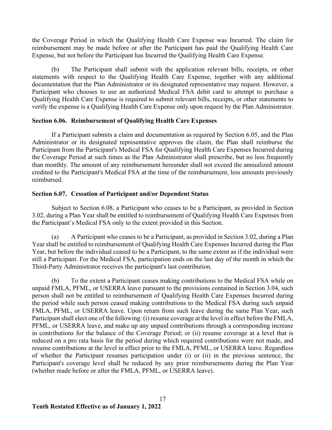the Coverage Period in which the Qualifying Health Care Expense was Incurred. The claim for reimbursement may be made before or after the Participant has paid the Qualifying Health Care Expense, but not before the Participant has Incurred the Qualifying Health Care Expense.

(b) The Participant shall submit with the application relevant bills, receipts, or other statements with respect to the Qualifying Health Care Expense, together with any additional documentation that the Plan Administrator or its designated representative may request. However, a Participant who chooses to use an authorized Medical FSA debit card to attempt to purchase a Qualifying Health Care Expense is required to submit relevant bills, receipts, or other statements to verify the expense is a Qualifying Health Care Expense only upon request by the Plan Administrator.

## **Section 6.06. Reimbursement of Qualifying Health Care Expenses**

If a Participant submits a claim and documentation as required by Section 6.05, and the Plan Administrator or its designated representative approves the claim, the Plan shall reimburse the Participant from the Participant's Medical FSA for Qualifying Health Care Expenses Incurred during the Coverage Period at such times as the Plan Administrator shall prescribe, but no less frequently than monthly. The amount of any reimbursement hereunder shall not exceed the annualized amount credited to the Participant's Medical FSA at the time of the reimbursement, less amounts previously reimbursed.

## **Section 6.07. Cessation of Participant and/or Dependent Status**

Subject to Section 6.08, a Participant who ceases to be a Participant, as provided in Section 3.02, during a Plan Year shall be entitled to reimbursement of Qualifying Health Care Expenses from the Participant's Medical FSA only to the extent provided in this Section.

(a) A Participant who ceases to be a Participant, as provided in Section 3.02, during a Plan Year shall be entitled to reimbursement of Qualifying Health Care Expenses Incurred during the Plan Year, but before the individual ceased to be a Participant, to the same extent as if the individual were still a Participant. For the Medical FSA, participation ends on the last day of the month in which the Third-Party Administrator receives the participant's last contribution.

(b) To the extent a Participant ceases making contributions to the Medical FSA while on unpaid FMLA, PFML, or USERRA leave pursuant to the provisions contained in Section 3.04, such person shall not be entitled to reimbursement of Qualifying Health Care Expenses Incurred during the period while such person ceased making contributions to the Medical FSA during such unpaid FMLA, PFML, or USERRA leave. Upon return from such leave during the same Plan Year, such Participant shall elect one of the following: (i) resume coverage at the level in effect before the FMLA, PFML, or USERRA leave, and make up any unpaid contributions through a corresponding increase in contributions for the balance of the Coverage Period; or (ii) resume coverage at a level that is reduced on a pro rata basis for the period during which required contributions were not made, and resume contributions at the level in effect prior to the FMLA, PFML, or USERRA leave. Regardless of whether the Participant resumes participation under (i) or (ii) in the previous sentence, the Participant's coverage level shall be reduced by any prior reimbursements during the Plan Year (whether made before or after the FMLA, PFML, or USERRA leave).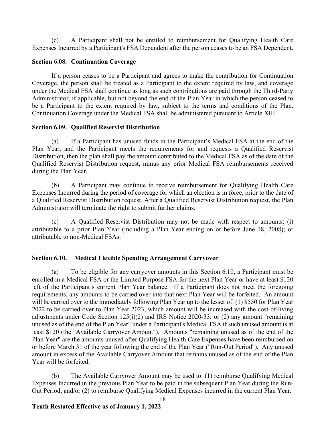(c) A Participant shall not be entitled to reimbursement for Qualifying Health Care Expenses Incurred by a Participant's FSA Dependent after the person ceases to be an FSA Dependent.

# **Section 6.08. Continuation Coverage**

If a person ceases to be a Participant and agrees to make the contribution for Continuation Coverage, the person shall be treated as a Participant to the extent required by law, and coverage under the Medical FSA shall continue as long as such contributions are paid through the Third-Party Administrator, if applicable, but not beyond the end of the Plan Year in which the person ceased to be a Participant to the extent required by law, subject to the terms and conditions of the Plan. Continuation Coverage under the Medical FSA shall be administered pursuant to Article XIII.

# **Section 6.09. Qualified Reservist Distribution**

(a) If a Participant has unused funds in the Participant's Medical FSA at the end of the Plan Year, and the Participant meets the requirements for and requests a Qualified Reservist Distribution, then the plan shall pay the amount contributed to the Medical FSA as of the date of the Qualified Reservist Distribution request, minus any prior Medical FSA reimbursements received during the Plan Year.

(b) A Participant may continue to receive reimbursement for Qualifying Health Care Expenses Incurred during the period of coverage for which an election is in force, prior to the date of a Qualified Reservist Distribution request. After a Qualified Reservist Distribution request, the Plan Administrator will terminate the right to submit further claims.

(c) A Qualified Reservist Distribution may not be made with respect to amounts: (i) attributable to a prior Plan Year (including a Plan Year ending on or before June 18, 2008); or attributable to non-Medical FSAs.

# **Section 6.10. Medical Flexible Spending Arrangement Carryover**

(a) To be eligible for any carryover amounts in this Section 6.10, a Participant must be enrolled in a Medical FSA or the Limited Purpose FSA for the next Plan Year or have at least \$120 left of the Participant's current Plan Year balance. If a Participant does not meet the foregoing requirements, any amounts to be carried over into that next Plan Year will be forfeited. An amount will be carried over to the immediately following Plan Year up to the lesser of: (1) \$550 for Plan Year 2022 to be carried over to Plan Year 2023, which amount will be increased with the cost-of-living adjustments under Code Section 125(i)(2) and IRS Notice 2020-33; or (2) any amount "remaining unused as of the end of the Plan Year" under a Participant's Medical FSA if such unused amount is at least \$120 (the "Available Carryover Amount"). Amounts "remaining unused as of the end of the Plan Year" are the amounts unused after Qualifying Health Care Expenses have been reimbursed on or before March 31 of the year following the end of the Plan Year ("Run-Out Period"). Any unused amount in excess of the Available Carryover Amount that remains unused as of the end of the Plan Year will be forfeited.

(b) The Available Carryover Amount may be used to: (1) reimburse Qualifying Medical Expenses Incurred in the previous Plan Year to be paid in the subsequent Plan Year during the Run-Out Period; and/or (2) to reimburse Qualifying Medical Expenses incurred in the current Plan Year.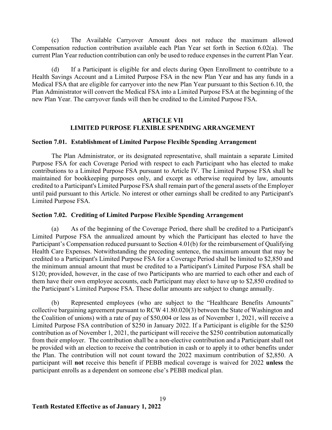(c) The Available Carryover Amount does not reduce the maximum allowed Compensation reduction contribution available each Plan Year set forth in Section 6.02(a). The current Plan Year reduction contribution can only be used to reduce expenses in the current Plan Year.

(d) If a Participant is eligible for and elects during Open Enrollment to contribute to a Health Savings Account and a Limited Purpose FSA in the new Plan Year and has any funds in a Medical FSA that are eligible for carryover into the new Plan Year pursuant to this Section 6.10, the Plan Administrator will convert the Medical FSA into a Limited Purpose FSA at the beginning of the new Plan Year. The carryover funds will then be credited to the Limited Purpose FSA.

### **ARTICLE VII LIMITED PURPOSE FLEXIBLE SPENDING ARRANGEMENT**

### **Section 7.01. Establishment of Limited Purpose Flexible Spending Arrangement**

The Plan Administrator, or its designated representative, shall maintain a separate Limited Purpose FSA for each Coverage Period with respect to each Participant who has elected to make contributions to a Limited Purpose FSA pursuant to Article IV. The Limited Purpose FSA shall be maintained for bookkeeping purposes only, and except as otherwise required by law, amounts credited to a Participant's Limited Purpose FSA shall remain part of the general assets of the Employer until paid pursuant to this Article. No interest or other earnings shall be credited to any Participant's Limited Purpose FSA.

## **Section 7.02. Crediting of Limited Purpose Flexible Spending Arrangement**

(a) As of the beginning of the Coverage Period, there shall be credited to a Participant's Limited Purpose FSA the annualized amount by which the Participant has elected to have the Participant's Compensation reduced pursuant to Section 4.01(b) for the reimbursement of Qualifying Health Care Expenses. Notwithstanding the preceding sentence, the maximum amount that may be credited to a Participant's Limited Purpose FSA for a Coverage Period shall be limited to \$2,850 and the minimum annual amount that must be credited to a Participant's Limited Purpose FSA shall be \$120; provided, however, in the case of two Participants who are married to each other and each of them have their own employee accounts, each Participant may elect to have up to \$2,850 credited to the Participant's Limited Purpose FSA. These dollar amounts are subject to change annually.

(b) Represented employees (who are subject to the "Healthcare Benefits Amounts" collective bargaining agreement pursuant to RCW 41.80.020(3) between the State of Washington and the Coalition of unions) with a rate of pay of \$50,004 or less as of November 1, 2021, will receive a Limited Purpose FSA contribution of \$250 in January 2022. If a Participant is eligible for the \$250 contribution as of November 1, 2021, the participant will receive the \$250 contribution automatically from their employer. The contribution shall be a non-elective contribution and a Participant shall not be provided with an election to receive the contribution in cash or to apply it to other benefits under the Plan. The contribution will not count toward the 2022 maximum contribution of \$2,850. A participant will **not** receive this benefit if PEBB medical coverage is waived for 2022 **unless** the participant enrolls as a dependent on someone else's PEBB medical plan.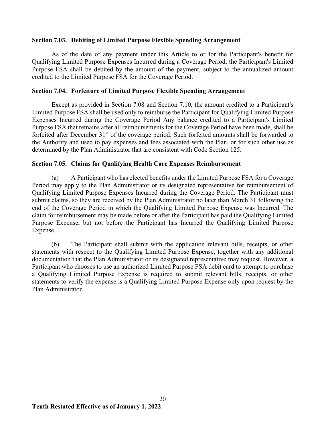# **Section 7.03. Debiting of Limited Purpose Flexible Spending Arrangement**

As of the date of any payment under this Article to or for the Participant's benefit for Qualifying Limited Purpose Expenses Incurred during a Coverage Period, the Participant's Limited Purpose FSA shall be debited by the amount of the payment, subject to the annualized amount credited to the Limited Purpose FSA for the Coverage Period.

# **Section 7.04. Forfeiture of Limited Purpose Flexible Spending Arrangement**

Except as provided in Section 7.08 and Section 7.10, the amount credited to a Participant's Limited Purpose FSA shall be used only to reimburse the Participant for Qualifying Limited Purpose Expenses Incurred during the Coverage Period Any balance credited to a Participant's Limited Purpose FSA that remains after all reimbursements for the Coverage Period have been made, shall be forfeited after December 31<sup>st</sup> of the coverage period. Such forfeited amounts shall be forwarded to the Authority and used to pay expenses and fees associated with the Plan, or for such other use as determined by the Plan Administrator that are consistent with Code Section 125.

## **Section 7.05. Claims for Qualifying Health Care Expenses Reimbursement**

(a) A Participant who has elected benefits under the Limited Purpose FSA for a Coverage Period may apply to the Plan Administrator or its designated representative for reimbursement of Qualifying Limited Purpose Expenses Incurred during the Coverage Period. The Participant must submit claims, so they are received by the Plan Administrator no later than March 31 following the end of the Coverage Period in which the Qualifying Limited Purpose Expense was Incurred. The claim for reimbursement may be made before or after the Participant has paid the Qualifying Limited Purpose Expense, but not before the Participant has Incurred the Qualifying Limited Purpose Expense.

(b) The Participant shall submit with the application relevant bills, receipts, or other statements with respect to the Qualifying Limited Purpose Expense, together with any additional documentation that the Plan Administrator or its designated representative may request. However, a Participant who chooses to use an authorized Limited Purpose FSA debit card to attempt to purchase a Qualifying Limited Purpose Expense is required to submit relevant bills, receipts, or other statements to verify the expense is a Qualifying Limited Purpose Expense only upon request by the Plan Administrator.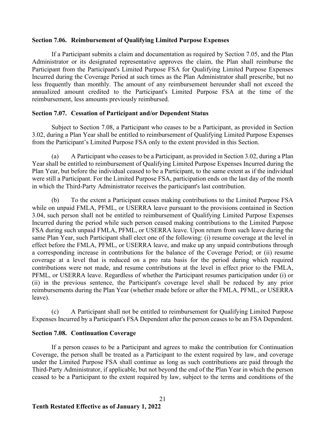### **Section 7.06. Reimbursement of Qualifying Limited Purpose Expenses**

If a Participant submits a claim and documentation as required by Section 7.05, and the Plan Administrator or its designated representative approves the claim, the Plan shall reimburse the Participant from the Participant's Limited Purpose FSA for Qualifying Limited Purpose Expenses Incurred during the Coverage Period at such times as the Plan Administrator shall prescribe, but no less frequently than monthly. The amount of any reimbursement hereunder shall not exceed the annualized amount credited to the Participant's Limited Purpose FSA at the time of the reimbursement, less amounts previously reimbursed.

### **Section 7.07. Cessation of Participant and/or Dependent Status**

Subject to Section 7.08, a Participant who ceases to be a Participant, as provided in Section 3.02, during a Plan Year shall be entitled to reimbursement of Qualifying Limited Purpose Expenses from the Participant's Limited Purpose FSA only to the extent provided in this Section.

(a) A Participant who ceases to be a Participant, as provided in Section 3.02, during a Plan Year shall be entitled to reimbursement of Qualifying Limited Purpose Expenses Incurred during the Plan Year, but before the individual ceased to be a Participant, to the same extent as if the individual were still a Participant. For the Limited Purpose FSA, participation ends on the last day of the month in which the Third-Party Administrator receives the participant's last contribution.

(b) To the extent a Participant ceases making contributions to the Limited Purpose FSA while on unpaid FMLA, PFML, or USERRA leave pursuant to the provisions contained in Section 3.04, such person shall not be entitled to reimbursement of Qualifying Limited Purpose Expenses Incurred during the period while such person ceased making contributions to the Limited Purpose FSA during such unpaid FMLA, PFML, or USERRA leave. Upon return from such leave during the same Plan Year, such Participant shall elect one of the following: (i) resume coverage at the level in effect before the FMLA, PFML, or USERRA leave, and make up any unpaid contributions through a corresponding increase in contributions for the balance of the Coverage Period; or (ii) resume coverage at a level that is reduced on a pro rata basis for the period during which required contributions were not made, and resume contributions at the level in effect prior to the FMLA, PFML, or USERRA leave. Regardless of whether the Participant resumes participation under (i) or (ii) in the previous sentence, the Participant's coverage level shall be reduced by any prior reimbursements during the Plan Year (whether made before or after the FMLA, PFML, or USERRA leave).

(c) A Participant shall not be entitled to reimbursement for Qualifying Limited Purpose Expenses Incurred by a Participant's FSA Dependent after the person ceases to be an FSA Dependent.

### **Section 7.08. Continuation Coverage**

If a person ceases to be a Participant and agrees to make the contribution for Continuation Coverage, the person shall be treated as a Participant to the extent required by law, and coverage under the Limited Purpose FSA shall continue as long as such contributions are paid through the Third-Party Administrator, if applicable, but not beyond the end of the Plan Year in which the person ceased to be a Participant to the extent required by law, subject to the terms and conditions of the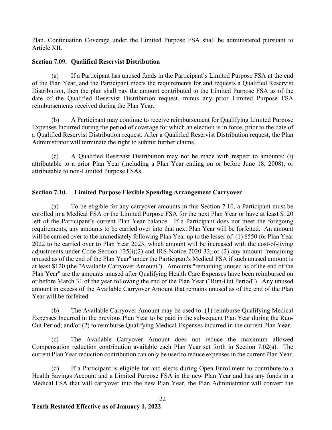Plan. Continuation Coverage under the Limited Purpose FSA shall be administered pursuant to Article XII.

# **Section 7.09. Qualified Reservist Distribution**

(a) If a Participant has unused funds in the Participant's Limited Purpose FSA at the end of the Plan Year, and the Participant meets the requirements for and requests a Qualified Reservist Distribution, then the plan shall pay the amount contributed to the Limited Purpose FSA as of the date of the Qualified Reservist Distribution request, minus any prior Limited Purpose FSA reimbursements received during the Plan Year.

(b) A Participant may continue to receive reimbursement for Qualifying Limited Purpose Expenses Incurred during the period of coverage for which an election is in force, prior to the date of a Qualified Reservist Distribution request. After a Qualified Reservist Distribution request, the Plan Administrator will terminate the right to submit further claims.

(c) A Qualified Reservist Distribution may not be made with respect to amounts: (i) attributable to a prior Plan Year (including a Plan Year ending on or before June 18, 2008); or attributable to non-Limited Purpose FSAs.

# **Section 7.10. Limited Purpose Flexible Spending Arrangement Carryover**

(a) To be eligible for any carryover amounts in this Section 7.10, a Participant must be enrolled in a Medical FSA or the Limited Purpose FSA for the next Plan Year or have at least \$120 left of the Participant's current Plan Year balance. If a Participant does not meet the foregoing requirements, any amounts to be carried over into that next Plan Year will be forfeited. An amount will be carried over to the immediately following Plan Year up to the lesser of: (1) \$550 for Plan Year 2022 to be carried over to Plan Year 2023, which amount will be increased with the cost-of-living adjustments under Code Section 125(i)(2) and IRS Notice 2020-33; or (2) any amount "remaining unused as of the end of the Plan Year" under the Participant's Medical FSA if such unused amount is at least \$120 (the "Available Carryover Amount"). Amounts "remaining unused as of the end of the Plan Year" are the amounts unused after Qualifying Health Care Expenses have been reimbursed on or before March 31 of the year following the end of the Plan Year ("Run-Out Period"). Any unused amount in excess of the Available Carryover Amount that remains unused as of the end of the Plan Year will be forfeited.

(b) The Available Carryover Amount may be used to: (1) reimburse Qualifying Medical Expenses Incurred in the previous Plan Year to be paid in the subsequent Plan Year during the Run-Out Period; and/or (2) to reimburse Qualifying Medical Expenses incurred in the current Plan Year.

(c) The Available Carryover Amount does not reduce the maximum allowed Compensation reduction contribution available each Plan Year set forth in Section 7.02(a). The current Plan Year reduction contribution can only be used to reduce expenses in the current Plan Year.

(d) If a Participant is eligible for and elects during Open Enrollment to contribute to a Health Savings Account and a Limited Purpose FSA in the new Plan Year and has any funds in a Medical FSA that will carryover into the new Plan Year, the Plan Administrator will convert the

 $22$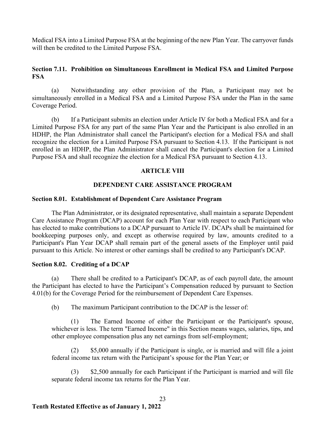Medical FSA into a Limited Purpose FSA at the beginning of the new Plan Year. The carryover funds will then be credited to the Limited Purpose FSA.

# **Section 7.11. Prohibition on Simultaneous Enrollment in Medical FSA and Limited Purpose FSA**

(a) Notwithstanding any other provision of the Plan, a Participant may not be simultaneously enrolled in a Medical FSA and a Limited Purpose FSA under the Plan in the same Coverage Period.

(b) If a Participant submits an election under Article IV for both a Medical FSA and for a Limited Purpose FSA for any part of the same Plan Year and the Participant is also enrolled in an HDHP, the Plan Administrator shall cancel the Participant's election for a Medical FSA and shall recognize the election for a Limited Purpose FSA pursuant to Section 4.13. If the Participant is not enrolled in an HDHP, the Plan Administrator shall cancel the Participant's election for a Limited Purpose FSA and shall recognize the election for a Medical FSA pursuant to Section 4.13.

# **ARTICLE VIII**

## **DEPENDENT CARE ASSISTANCE PROGRAM**

## **Section 8.01. Establishment of Dependent Care Assistance Program**

The Plan Administrator, or its designated representative, shall maintain a separate Dependent Care Assistance Program (DCAP) account for each Plan Year with respect to each Participant who has elected to make contributions to a DCAP pursuant to Article IV. DCAPs shall be maintained for bookkeeping purposes only, and except as otherwise required by law, amounts credited to a Participant's Plan Year DCAP shall remain part of the general assets of the Employer until paid pursuant to this Article. No interest or other earnings shall be credited to any Participant's DCAP.

### **Section 8.02. Crediting of a DCAP**

(a) There shall be credited to a Participant's DCAP, as of each payroll date, the amount the Participant has elected to have the Participant's Compensation reduced by pursuant to Section 4.01(b) for the Coverage Period for the reimbursement of Dependent Care Expenses.

(b) The maximum Participant contribution to the DCAP is the lesser of:

(1) The Earned Income of either the Participant or the Participant's spouse, whichever is less. The term "Earned Income" in this Section means wages, salaries, tips, and other employee compensation plus any net earnings from self-employment;

(2) \$5,000 annually if the Participant is single, or is married and will file a joint federal income tax return with the Participant's spouse for the Plan Year; or

(3) \$2,500 annually for each Participant if the Participant is married and will file separate federal income tax returns for the Plan Year.

 $23$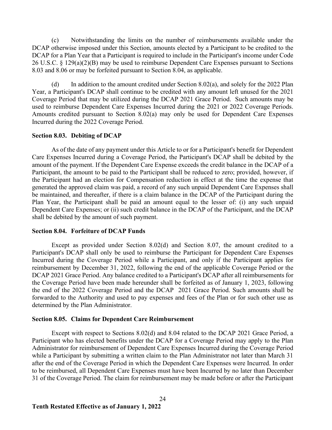(c) Notwithstanding the limits on the number of reimbursements available under the DCAP otherwise imposed under this Section, amounts elected by a Participant to be credited to the DCAP for a Plan Year that a Participant is required to include in the Participant's income under Code 26 U.S.C. § 129(a)(2)(B) may be used to reimburse Dependent Care Expenses pursuant to Sections 8.03 and 8.06 or may be forfeited pursuant to Section 8.04, as applicable.

(d) In addition to the amount credited under Section 8.02(a), and solely for the 2022 Plan Year, a Participant's DCAP shall continue to be credited with any amount left unused for the 2021 Coverage Period that may be utilized during the DCAP 2021 Grace Period. Such amounts may be used to reimburse Dependent Care Expenses Incurred during the 2021 or 2022 Coverage Periods. Amounts credited pursuant to Section 8.02(a) may only be used for Dependent Care Expenses Incurred during the 2022 Coverage Period.

### **Section 8.03. Debiting of DCAP**

As of the date of any payment under this Article to or for a Participant's benefit for Dependent Care Expenses Incurred during a Coverage Period, the Participant's DCAP shall be debited by the amount of the payment. If the Dependent Care Expense exceeds the credit balance in the DCAP of a Participant, the amount to be paid to the Participant shall be reduced to zero; provided, however, if the Participant had an election for Compensation reduction in effect at the time the expense that generated the approved claim was paid, a record of any such unpaid Dependent Care Expenses shall be maintained, and thereafter, if there is a claim balance in the DCAP of the Participant during the Plan Year, the Participant shall be paid an amount equal to the lesser of: (i) any such unpaid Dependent Care Expenses; or (ii) such credit balance in the DCAP of the Participant, and the DCAP shall be debited by the amount of such payment.

### **Section 8.04. Forfeiture of DCAP Funds**

Except as provided under Section 8.02(d) and Section 8.07, the amount credited to a Participant's DCAP shall only be used to reimburse the Participant for Dependent Care Expenses Incurred during the Coverage Period while a Participant, and only if the Participant applies for reimbursement by December 31, 2022, following the end of the applicable Coverage Period or the DCAP 2021 Grace Period. Any balance credited to a Participant's DCAP after all reimbursements for the Coverage Period have been made hereunder shall be forfeited as of January 1, 2023, following the end of the 2022 Coverage Period and the DCAP 2021 Grace Period. Such amounts shall be forwarded to the Authority and used to pay expenses and fees of the Plan or for such other use as determined by the Plan Administrator.

### **Section 8.05. Claims for Dependent Care Reimbursement**

Except with respect to Sections 8.02(d) and 8.04 related to the DCAP 2021 Grace Period, a Participant who has elected benefits under the DCAP for a Coverage Period may apply to the Plan Administrator for reimbursement of Dependent Care Expenses Incurred during the Coverage Period while a Participant by submitting a written claim to the Plan Administrator not later than March 31 after the end of the Coverage Period in which the Dependent Care Expenses were Incurred. In order to be reimbursed, all Dependent Care Expenses must have been Incurred by no later than December 31 of the Coverage Period. The claim for reimbursement may be made before or after the Participant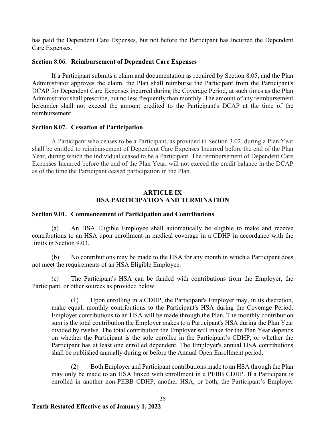has paid the Dependent Care Expenses, but not before the Participant has Incurred the Dependent Care Expenses.

# **Section 8.06. Reimbursement of Dependent Care Expenses**

If a Participant submits a claim and documentation as required by Section 8.05, and the Plan Administrator approves the claim, the Plan shall reimburse the Participant from the Participant's DCAP for Dependent Care Expenses incurred during the Coverage Period, at such times as the Plan Administrator shall prescribe, but no less frequently than monthly. The amount of any reimbursement hereunder shall not exceed the amount credited to the Participant's DCAP at the time of the reimbursement.

## **Section 8.07. Cessation of Participation**

A Participant who ceases to be a Participant, as provided in Section 3.02, during a Plan Year shall be entitled to reimbursement of Dependent Care Expenses Incurred before the end of the Plan Year, during which the individual ceased to be a Participant. The reimbursement of Dependent Care Expenses Incurred before the end of the Plan Year, will not exceed the credit balance in the DCAP as of the time the Participant ceased participation in the Plan.

# **ARTICLE IX HSA PARTICIPATION AND TERMINATION**

## **Section 9.01. Commencement of Participation and Contributions**

(a) An HSA Eligible Employee shall automatically be eligible to make and receive contributions to an HSA upon enrollment in medical coverage in a CDHP in accordance with the limits in Section 9.03.

(b) No contributions may be made to the HSA for any month in which a Participant does not meet the requirements of an HSA Eligible Employee.

(c) The Participant's HSA can be funded with contributions from the Employer, the Participant, or other sources as provided below.

(1) Upon enrolling in a CDHP, the Participant's Employer may, in its discretion, make equal, monthly contributions to the Participant's HSA during the Coverage Period. Employer contributions to an HSA will be made through the Plan. The monthly contribution sum is the total contribution the Employer makes to a Participant's HSA during the Plan Year divided by twelve. The total contribution the Employer will make for the Plan Year depends on whether the Participant is the sole enrollee in the Participant's CDHP, or whether the Participant has at least one enrolled dependent. The Employer's annual HSA contributions shall be published annually during or before the Annual Open Enrollment period.

(2) Both Employer and Participant contributions made to an HSA through the Plan may only be made to an HSA linked with enrollment in a PEBB CDHP. If a Participant is enrolled in another non-PEBB CDHP, another HSA, or both, the Participant's Employer

25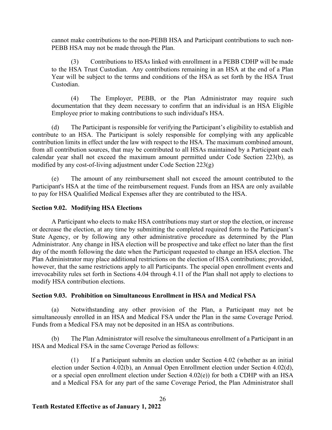cannot make contributions to the non-PEBB HSA and Participant contributions to such non-PEBB HSA may not be made through the Plan.

(3) Contributions to HSAs linked with enrollment in a PEBB CDHP will be made to the HSA Trust Custodian. Any contributions remaining in an HSA at the end of a Plan Year will be subject to the terms and conditions of the HSA as set forth by the HSA Trust Custodian.

(4) The Employer, PEBB, or the Plan Administrator may require such documentation that they deem necessary to confirm that an individual is an HSA Eligible Employee prior to making contributions to such individual's HSA.

(d) The Participant is responsible for verifying the Participant's eligibility to establish and contribute to an HSA. The Participant is solely responsible for complying with any applicable contribution limits in effect under the law with respect to the HSA. The maximum combined amount, from all contribution sources, that may be contributed to all HSAs maintained by a Participant each calendar year shall not exceed the maximum amount permitted under Code Section 223(b), as modified by any cost-of-living adjustment under Code Section  $223(g)$ 

(e) The amount of any reimbursement shall not exceed the amount contributed to the Participant's HSA at the time of the reimbursement request. Funds from an HSA are only available to pay for HSA Qualified Medical Expenses after they are contributed to the HSA.

# **Section 9.02. Modifying HSA Elections**

A Participant who elects to make HSA contributions may start or stop the election, or increase or decrease the election, at any time by submitting the completed required form to the Participant's State Agency, or by following any other administrative procedure as determined by the Plan Administrator. Any change in HSA election will be prospective and take effect no later than the first day of the month following the date when the Participant requested to change an HSA election. The Plan Administrator may place additional restrictions on the election of HSA contributions; provided, however, that the same restrictions apply to all Participants. The special open enrollment events and irrevocability rules set forth in Sections 4.04 through 4.11 of the Plan shall not apply to elections to modify HSA contribution elections.

# **Section 9.03. Prohibition on Simultaneous Enrollment in HSA and Medical FSA**

(a) Notwithstanding any other provision of the Plan, a Participant may not be simultaneously enrolled in an HSA and Medical FSA under the Plan in the same Coverage Period. Funds from a Medical FSA may not be deposited in an HSA as contributions.

(b) The Plan Administrator will resolve the simultaneous enrollment of a Participant in an HSA and Medical FSA in the same Coverage Period as follows:

(1) If a Participant submits an election under Section 4.02 (whether as an initial election under Section 4.02(b), an Annual Open Enrollment election under Section 4.02(d), or a special open enrollment election under Section 4.02(e)) for both a CDHP with an HSA and a Medical FSA for any part of the same Coverage Period, the Plan Administrator shall

# 26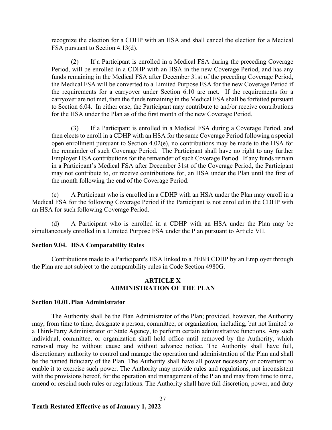recognize the election for a CDHP with an HSA and shall cancel the election for a Medical FSA pursuant to Section 4.13(d).

(2) If a Participant is enrolled in a Medical FSA during the preceding Coverage Period, will be enrolled in a CDHP with an HSA in the new Coverage Period, and has any funds remaining in the Medical FSA after December 31st of the preceding Coverage Period, the Medical FSA will be converted to a Limited Purpose FSA for the new Coverage Period if the requirements for a carryover under Section 6.10 are met. If the requirements for a carryover are not met, then the funds remaining in the Medical FSA shall be forfeited pursuant to Section 6.04. In either case, the Participant may contribute to and/or receive contributions for the HSA under the Plan as of the first month of the new Coverage Period.

(3) If a Participant is enrolled in a Medical FSA during a Coverage Period, and then elects to enroll in a CDHP with an HSA for the same Coverage Period following a special open enrollment pursuant to Section 4.02(e), no contributions may be made to the HSA for the remainder of such Coverage Period. The Participant shall have no right to any further Employer HSA contributions for the remainder of such Coverage Period. If any funds remain in a Participant's Medical FSA after December 31st of the Coverage Period, the Participant may not contribute to, or receive contributions for, an HSA under the Plan until the first of the month following the end of the Coverage Period.

(c) A Participant who is enrolled in a CDHP with an HSA under the Plan may enroll in a Medical FSA for the following Coverage Period if the Participant is not enrolled in the CDHP with an HSA for such following Coverage Period.

(d) A Participant who is enrolled in a CDHP with an HSA under the Plan may be simultaneously enrolled in a Limited Purpose FSA under the Plan pursuant to Article VII.

### **Section 9.04. HSA Comparability Rules**

Contributions made to a Participant's HSA linked to a PEBB CDHP by an Employer through the Plan are not subject to the comparability rules in Code Section 4980G.

### **ARTICLE X ADMINISTRATION OF THE PLAN**

### **Section 10.01.Plan Administrator**

The Authority shall be the Plan Administrator of the Plan; provided, however, the Authority may, from time to time, designate a person, committee, or organization, including, but not limited to a Third-Party Administrator or State Agency, to perform certain administrative functions. Any such individual, committee, or organization shall hold office until removed by the Authority, which removal may be without cause and without advance notice. The Authority shall have full, discretionary authority to control and manage the operation and administration of the Plan and shall be the named fiduciary of the Plan. The Authority shall have all power necessary or convenient to enable it to exercise such power. The Authority may provide rules and regulations, not inconsistent with the provisions hereof, for the operation and management of the Plan and may from time to time, amend or rescind such rules or regulations. The Authority shall have full discretion, power, and duty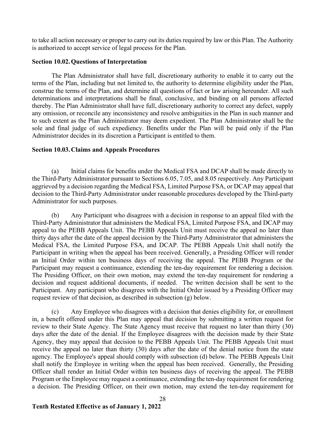to take all action necessary or proper to carry out its duties required by law or this Plan. The Authority is authorized to accept service of legal process for the Plan.

# **Section 10.02.Questions of Interpretation**

The Plan Administrator shall have full, discretionary authority to enable it to carry out the terms of the Plan, including but not limited to, the authority to determine eligibility under the Plan, construe the terms of the Plan, and determine all questions of fact or law arising hereunder. All such determinations and interpretations shall be final, conclusive, and binding on all persons affected thereby. The Plan Administrator shall have full, discretionary authority to correct any defect, supply any omission, or reconcile any inconsistency and resolve ambiguities in the Plan in such manner and to such extent as the Plan Administrator may deem expedient. The Plan Administrator shall be the sole and final judge of such expediency. Benefits under the Plan will be paid only if the Plan Administrator decides in its discretion a Participant is entitled to them.

# **Section 10.03.Claims and Appeals Procedures**

(a) Initial claims for benefits under the Medical FSA and DCAP shall be made directly to the Third-Party Administrator pursuant to Sections 6.05, 7.05, and 8.05 respectively. Any Participant aggrieved by a decision regarding the Medical FSA, Limited Purpose FSA, or DCAP may appeal that decision to the Third-Party Administrator under reasonable procedures developed by the Third-party Administrator for such purposes.

(b) Any Participant who disagrees with a decision in response to an appeal filed with the Third-Party Administrator that administers the Medical FSA, Limited Purpose FSA, and DCAP may appeal to the PEBB Appeals Unit. The PEBB Appeals Unit must receive the appeal no later than thirty days after the date of the appeal decision by the Third-Party Administrator that administers the Medical FSA, the Limited Purpose FSA, and DCAP. The PEBB Appeals Unit shall notify the Participant in writing when the appeal has been received. Generally, a Presiding Officer will render an Initial Order within ten business days of receiving the appeal. The PEBB Program or the Participant may request a continuance, extending the ten-day requirement for rendering a decision. The Presiding Officer, on their own motion, may extend the ten-day requirement for rendering a decision and request additional documents, if needed. The written decision shall be sent to the Participant. Any participant who disagrees with the Initial Order issued by a Presiding Officer may request review of that decision, as described in subsection (g) below.

(c) Any Employee who disagrees with a decision that denies eligibility for, or enrollment in, a benefit offered under this Plan may appeal that decision by submitting a written request for review to their State Agency. The State Agency must receive that request no later than thirty (30) days after the date of the denial. If the Employee disagrees with the decision made by their State Agency, they may appeal that decision to the PEBB Appeals Unit. The PEBB Appeals Unit must receive the appeal no later than thirty (30) days after the date of the denial notice from the state agency. The Employee's appeal should comply with subsection (d) below. The PEBB Appeals Unit shall notify the Employee in writing when the appeal has been received. Generally, the Presiding Officer shall render an Initial Order within ten business days of receiving the appeal. The PEBB Program or the Employee may request a continuance, extending the ten-day requirement for rendering a decision. The Presiding Officer, on their own motion, may extend the ten-day requirement for

28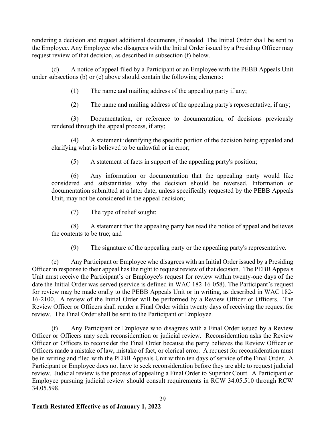rendering a decision and request additional documents, if needed. The Initial Order shall be sent to the Employee. Any Employee who disagrees with the Initial Order issued by a Presiding Officer may request review of that decision, as described in subsection (f) below.

(d) A notice of appeal filed by a Participant or an Employee with the PEBB Appeals Unit under subsections (b) or (c) above should contain the following elements:

(1) The name and mailing address of the appealing party if any;

(2) The name and mailing address of the appealing party's representative, if any;

(3) Documentation, or reference to documentation, of decisions previously rendered through the appeal process, if any;

(4) A statement identifying the specific portion of the decision being appealed and clarifying what is believed to be unlawful or in error;

(5) A statement of facts in support of the appealing party's position;

(6) Any information or documentation that the appealing party would like considered and substantiates why the decision should be reversed. Information or documentation submitted at a later date, unless specifically requested by the PEBB Appeals Unit, may not be considered in the appeal decision;

(7) The type of relief sought;

(8) A statement that the appealing party has read the notice of appeal and believes the contents to be true; and

(9) The signature of the appealing party or the appealing party's representative.

(e) Any Participant or Employee who disagrees with an Initial Order issued by a Presiding Officer in response to their appeal has the right to request review of that decision. The PEBB Appeals Unit must receive the Participant's or Employee's request for review within twenty-one days of the date the Initial Order was served (service is defined in WAC 182-16-058). The Participant's request for review may be made orally to the PEBB Appeals Unit or in writing, as described in WAC 182- 16-2100. A review of the Initial Order will be performed by a Review Officer or Officers. The Review Officer or Officers shall render a Final Order within twenty days of receiving the request for review. The Final Order shall be sent to the Participant or Employee.

(f) Any Participant or Employee who disagrees with a Final Order issued by a Review Officer or Officers may seek reconsideration or judicial review. Reconsideration asks the Review Officer or Officers to reconsider the Final Order because the party believes the Review Officer or Officers made a mistake of law, mistake of fact, or clerical error. A request for reconsideration must be in writing and filed with the PEBB Appeals Unit within ten days of service of the Final Order. A Participant or Employee does not have to seek reconsideration before they are able to request judicial review. Judicial review is the process of appealing a Final Order to Superior Court. A Participant or Employee pursuing judicial review should consult requirements in RCW 34.05.510 through RCW 34.05.598.

29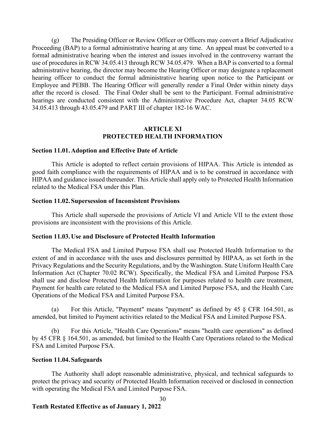(g) The Presiding Officer or Review Officer or Officers may convert a Brief Adjudicative Proceeding (BAP) to a formal administrative hearing at any time. An appeal must be converted to a formal administrative hearing when the interest and issues involved in the controversy warrant the use of procedures in RCW 34.05.413 through RCW 34.05.479. When a BAP is converted to a formal administrative hearing, the director may become the Hearing Officer or may designate a replacement hearing officer to conduct the formal administrative hearing upon notice to the Participant or Employee and PEBB. The Hearing Officer will generally render a Final Order within ninety days after the record is closed. The Final Order shall be sent to the Participant. Formal administrative hearings are conducted consistent with the Administrative Procedure Act, chapter 34.05 RCW 34.05.413 through 43.05.479 and PART III of chapter 182-16 WAC.

## **ARTICLE XI PROTECTED HEALTH INFORMATION**

### **Section 11.01.Adoption and Effective Date of Article**

This Article is adopted to reflect certain provisions of HIPAA. This Article is intended as good faith compliance with the requirements of HIPAA and is to be construed in accordance with HIPAA and guidance issued thereunder. This Article shall apply only to Protected Health Information related to the Medical FSA under this Plan.

### **Section 11.02. Supersession of Inconsistent Provisions**

This Article shall supersede the provisions of Article VI and Article VII to the extent those provisions are inconsistent with the provisions of this Article.

### **Section 11.03.Use and Disclosure of Protected Health Information**

The Medical FSA and Limited Purpose FSA shall use Protected Health Information to the extent of and in accordance with the uses and disclosures permitted by HIPAA, as set forth in the Privacy Regulations and the Security Regulations, and by the Washington. State Uniform Health Care Information Act (Chapter 70.02 RCW). Specifically, the Medical FSA and Limited Purpose FSA shall use and disclose Protected Health Information for purposes related to health care treatment, Payment for health care related to the Medical FSA and Limited Purpose FSA, and the Health Care Operations of the Medical FSA and Limited Purpose FSA.

(a) For this Article, "Payment" means "payment" as defined by 45 § CFR 164.501, as amended, but limited to Payment activities related to the Medical FSA and Limited Purpose FSA.

For this Article, "Health Care Operations" means "health care operations" as defined by 45 CFR § 164.501, as amended, but limited to the Health Care Operations related to the Medical FSA and Limited Purpose FSA.

#### **Section 11.04. Safeguards**

The Authority shall adopt reasonable administrative, physical, and technical safeguards to protect the privacy and security of Protected Health Information received or disclosed in connection with operating the Medical FSA and Limited Purpose FSA.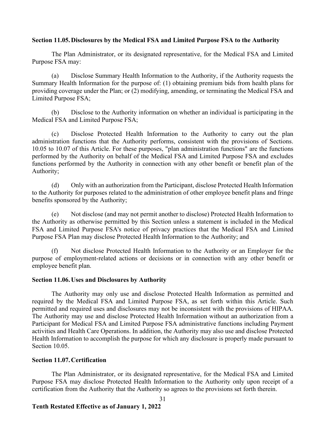# **Section 11.05.Disclosures by the Medical FSA and Limited Purpose FSA to the Authority**

The Plan Administrator, or its designated representative, for the Medical FSA and Limited Purpose FSA may:

(a) Disclose Summary Health Information to the Authority, if the Authority requests the Summary Health Information for the purpose of: (1) obtaining premium bids from health plans for providing coverage under the Plan; or (2) modifying, amending, or terminating the Medical FSA and Limited Purpose FSA;

(b) Disclose to the Authority information on whether an individual is participating in the Medical FSA and Limited Purpose FSA;

(c) Disclose Protected Health Information to the Authority to carry out the plan administration functions that the Authority performs, consistent with the provisions of Sections. 10.05 to 10.07 of this Article. For these purposes, "plan administration functions" are the functions performed by the Authority on behalf of the Medical FSA and Limited Purpose FSA and excludes functions performed by the Authority in connection with any other benefit or benefit plan of the Authority;

(d) Only with an authorization from the Participant, disclose Protected Health Information to the Authority for purposes related to the administration of other employee benefit plans and fringe benefits sponsored by the Authority;

(e) Not disclose (and may not permit another to disclose) Protected Health Information to the Authority as otherwise permitted by this Section unless a statement is included in the Medical FSA and Limited Purpose FSA's notice of privacy practices that the Medical FSA and Limited Purpose FSA Plan may disclose Protected Health Information to the Authority; and

(f) Not disclose Protected Health Information to the Authority or an Employer for the purpose of employment-related actions or decisions or in connection with any other benefit or employee benefit plan.

### **Section 11.06.Uses and Disclosures by Authority**

The Authority may only use and disclose Protected Health Information as permitted and required by the Medical FSA and Limited Purpose FSA, as set forth within this Article. Such permitted and required uses and disclosures may not be inconsistent with the provisions of HIPAA. The Authority may use and disclose Protected Health Information without an authorization from a Participant for Medical FSA and Limited Purpose FSA administrative functions including Payment activities and Health Care Operations. In addition, the Authority may also use and disclose Protected Health Information to accomplish the purpose for which any disclosure is properly made pursuant to Section 10.05.

### **Section 11.07.Certification**

The Plan Administrator, or its designated representative, for the Medical FSA and Limited Purpose FSA may disclose Protected Health Information to the Authority only upon receipt of a certification from the Authority that the Authority so agrees to the provisions set forth therein.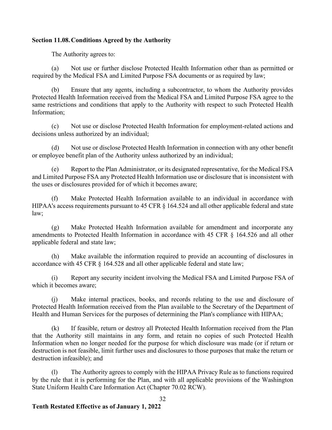# **Section 11.08.Conditions Agreed by the Authority**

The Authority agrees to:

(a) Not use or further disclose Protected Health Information other than as permitted or required by the Medical FSA and Limited Purpose FSA documents or as required by law;

Ensure that any agents, including a subcontractor, to whom the Authority provides Protected Health Information received from the Medical FSA and Limited Purpose FSA agree to the same restrictions and conditions that apply to the Authority with respect to such Protected Health Information;

(c) Not use or disclose Protected Health Information for employment-related actions and decisions unless authorized by an individual;

(d) Not use or disclose Protected Health Information in connection with any other benefit or employee benefit plan of the Authority unless authorized by an individual;

Report to the Plan Administrator, or its designated representative, for the Medical FSA and Limited Purpose FSA any Protected Health Information use or disclosure that is inconsistent with the uses or disclosures provided for of which it becomes aware;

(f) Make Protected Health Information available to an individual in accordance with HIPAA's access requirements pursuant to 45 CFR § 164.524 and all other applicable federal and state law;

(g) Make Protected Health Information available for amendment and incorporate any amendments to Protected Health Information in accordance with 45 CFR § 164.526 and all other applicable federal and state law;

(h) Make available the information required to provide an accounting of disclosures in accordance with 45 CFR § 164.528 and all other applicable federal and state law;

(i) Report any security incident involving the Medical FSA and Limited Purpose FSA of which it becomes aware;

(j) Make internal practices, books, and records relating to the use and disclosure of Protected Health Information received from the Plan available to the Secretary of the Department of Health and Human Services for the purposes of determining the Plan's compliance with HIPAA;

(k) If feasible, return or destroy all Protected Health Information received from the Plan that the Authority still maintains in any form, and retain no copies of such Protected Health Information when no longer needed for the purpose for which disclosure was made (or if return or destruction is not feasible, limit further uses and disclosures to those purposes that make the return or destruction infeasible); and

(l) The Authority agrees to comply with the HIPAA Privacy Rule as to functions required by the rule that it is performing for the Plan, and with all applicable provisions of the Washington State Uniform Health Care Information Act (Chapter 70.02 RCW).

#### 32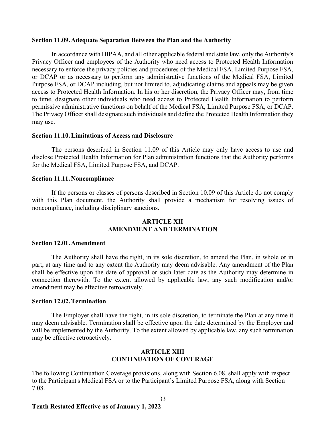### **Section 11.09.Adequate Separation Between the Plan and the Authority**

In accordance with HIPAA, and all other applicable federal and state law, only the Authority's Privacy Officer and employees of the Authority who need access to Protected Health Information necessary to enforce the privacy policies and procedures of the Medical FSA, Limited Purpose FSA, or DCAP or as necessary to perform any administrative functions of the Medical FSA, Limited Purpose FSA, or DCAP including, but not limited to, adjudicating claims and appeals may be given access to Protected Health Information. In his or her discretion, the Privacy Officer may, from time to time, designate other individuals who need access to Protected Health Information to perform permissive administrative functions on behalf of the Medical FSA, Limited Purpose FSA, or DCAP. The Privacy Officer shall designate such individuals and define the Protected Health Information they may use.

### **Section 11.10.Limitations of Access and Disclosure**

The persons described in Section 11.09 of this Article may only have access to use and disclose Protected Health Information for Plan administration functions that the Authority performs for the Medical FSA, Limited Purpose FSA, and DCAP.

### **Section 11.11.Noncompliance**

If the persons or classes of persons described in Section 10.09 of this Article do not comply with this Plan document, the Authority shall provide a mechanism for resolving issues of noncompliance, including disciplinary sanctions.

# **ARTICLE XII AMENDMENT AND TERMINATION**

## **Section 12.01.Amendment**

The Authority shall have the right, in its sole discretion, to amend the Plan, in whole or in part, at any time and to any extent the Authority may deem advisable. Any amendment of the Plan shall be effective upon the date of approval or such later date as the Authority may determine in connection therewith. To the extent allowed by applicable law, any such modification and/or amendment may be effective retroactively.

### **Section 12.02.Termination**

The Employer shall have the right, in its sole discretion, to terminate the Plan at any time it may deem advisable. Termination shall be effective upon the date determined by the Employer and will be implemented by the Authority. To the extent allowed by applicable law, any such termination may be effective retroactively.

### **ARTICLE XIII CONTINUATION OF COVERAGE**

The following Continuation Coverage provisions, along with Section 6.08, shall apply with respect to the Participant's Medical FSA or to the Participant's Limited Purpose FSA, along with Section 7.08.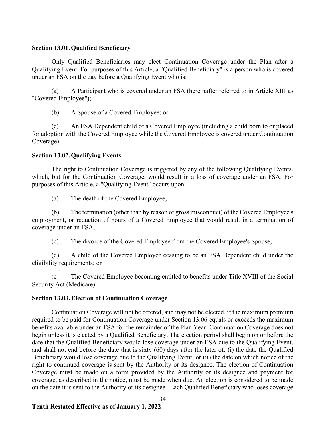## **Section 13.01.Qualified Beneficiary**

Only Qualified Beneficiaries may elect Continuation Coverage under the Plan after a Qualifying Event. For purposes of this Article, a "Qualified Beneficiary" is a person who is covered under an FSA on the day before a Qualifying Event who is:

(a) A Participant who is covered under an FSA (hereinafter referred to in Article XIII as "Covered Employee");

(b) A Spouse of a Covered Employee; or

(c) An FSA Dependent child of a Covered Employee (including a child born to or placed for adoption with the Covered Employee while the Covered Employee is covered under Continuation Coverage).

## **Section 13.02.Qualifying Events**

The right to Continuation Coverage is triggered by any of the following Qualifying Events, which, but for the Continuation Coverage, would result in a loss of coverage under an FSA. For purposes of this Article, a "Qualifying Event" occurs upon:

(a) The death of the Covered Employee;

(b) The termination (other than by reason of gross misconduct) of the Covered Employee's employment, or reduction of hours of a Covered Employee that would result in a termination of coverage under an FSA;

(c) The divorce of the Covered Employee from the Covered Employee's Spouse;

(d) A child of the Covered Employee ceasing to be an FSA Dependent child under the eligibility requirements; or

(e) The Covered Employee becoming entitled to benefits under Title XVIII of the Social Security Act (Medicare).

### **Section 13.03.Election of Continuation Coverage**

Continuation Coverage will not be offered, and may not be elected, if the maximum premium required to be paid for Continuation Coverage under Section 13.06 equals or exceeds the maximum benefits available under an FSA for the remainder of the Plan Year. Continuation Coverage does not begin unless it is elected by a Qualified Beneficiary. The election period shall begin on or before the date that the Qualified Beneficiary would lose coverage under an FSA due to the Qualifying Event, and shall not end before the date that is sixty (60) days after the later of: (i) the date the Qualified Beneficiary would lose coverage due to the Qualifying Event; or (ii) the date on which notice of the right to continued coverage is sent by the Authority or its designee. The election of Continuation Coverage must be made on a form provided by the Authority or its designee and payment for coverage, as described in the notice, must be made when due. An election is considered to be made on the date it is sent to the Authority or its designee. Each Qualified Beneficiary who loses coverage

34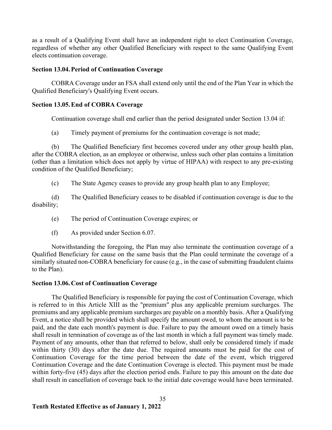as a result of a Qualifying Event shall have an independent right to elect Continuation Coverage, regardless of whether any other Qualified Beneficiary with respect to the same Qualifying Event elects continuation coverage.

### **Section 13.04.Period of Continuation Coverage**

COBRA Coverage under an FSA shall extend only until the end of the Plan Year in which the Qualified Beneficiary's Qualifying Event occurs.

### **Section 13.05.End of COBRA Coverage**

Continuation coverage shall end earlier than the period designated under Section 13.04 if:

(a) Timely payment of premiums for the continuation coverage is not made;

(b) The Qualified Beneficiary first becomes covered under any other group health plan, after the COBRA election, as an employee or otherwise, unless such other plan contains a limitation (other than a limitation which does not apply by virtue of HIPAA) with respect to any pre-existing condition of the Qualified Beneficiary;

(c) The State Agency ceases to provide any group health plan to any Employee;

(d) The Qualified Beneficiary ceases to be disabled if continuation coverage is due to the disability;

- (e) The period of Continuation Coverage expires; or
- (f) As provided under Section 6.07.

Notwithstanding the foregoing, the Plan may also terminate the continuation coverage of a Qualified Beneficiary for cause on the same basis that the Plan could terminate the coverage of a similarly situated non-COBRA beneficiary for cause (e.g., in the case of submitting fraudulent claims to the Plan).

### **Section 13.06.Cost of Continuation Coverage**

The Qualified Beneficiary is responsible for paying the cost of Continuation Coverage, which is referred to in this Article XIII as the "premium" plus any applicable premium surcharges. The premiums and any applicable premium surcharges are payable on a monthly basis. After a Qualifying Event, a notice shall be provided which shall specify the amount owed, to whom the amount is to be paid, and the date each month's payment is due. Failure to pay the amount owed on a timely basis shall result in termination of coverage as of the last month in which a full payment was timely made. Payment of any amounts, other than that referred to below, shall only be considered timely if made within thirty (30) days after the date due. The required amounts must be paid for the cost of Continuation Coverage for the time period between the date of the event, which triggered Continuation Coverage and the date Continuation Coverage is elected. This payment must be made within forty-five (45) days after the election period ends. Failure to pay this amount on the date due shall result in cancellation of coverage back to the initial date coverage would have been terminated.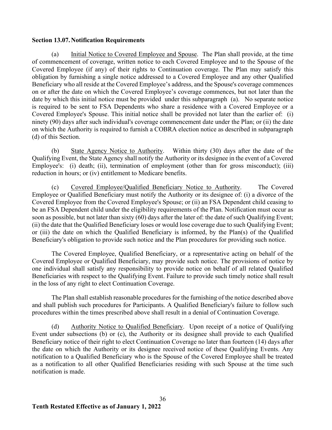# **Section 13.07.Notification Requirements**

(a) Initial Notice to Covered Employee and Spouse. The Plan shall provide, at the time of commencement of coverage, written notice to each Covered Employee and to the Spouse of the Covered Employee (if any) of their rights to Continuation coverage. The Plan may satisfy this obligation by furnishing a single notice addressed to a Covered Employee and any other Qualified Beneficiary who all reside at the Covered Employee's address, and the Spouse's coverage commences on or after the date on which the Covered Employee's coverage commences, but not later than the date by which this initial notice must be provided under this subparagraph (a). No separate notice is required to be sent to FSA Dependents who share a residence with a Covered Employee or a Covered Employee's Spouse. This initial notice shall be provided not later than the earlier of: (i) ninety (90) days after such individual's coverage commencement date under the Plan; or (ii) the date on which the Authority is required to furnish a COBRA election notice as described in subparagraph (d) of this Section.

(b) State Agency Notice to Authority. Within thirty (30) days after the date of the Qualifying Event, the State Agency shall notify the Authority or its designee in the event of a Covered Employee's: (i) death; (ii), termination of employment (other than for gross misconduct); (iii) reduction in hours; or (iv) entitlement to Medicare benefits.

(c) Covered Employee/Qualified Beneficiary Notice to Authority. The Covered Employee or Qualified Beneficiary must notify the Authority or its designee of: (i) a divorce of the Covered Employee from the Covered Employee's Spouse; or (ii) an FSA Dependent child ceasing to be an FSA Dependent child under the eligibility requirements of the Plan. Notification must occur as soon as possible, but not later than sixty (60) days after the later of: the date of such Qualifying Event; (ii) the date that the Qualified Beneficiary loses or would lose coverage due to such Qualifying Event; or (iii) the date on which the Qualified Beneficiary is informed, by the Plan(s) of the Qualified Beneficiary's obligation to provide such notice and the Plan procedures for providing such notice.

The Covered Employee, Qualified Beneficiary, or a representative acting on behalf of the Covered Employee or Qualified Beneficiary, may provide such notice. The provisions of notice by one individual shall satisfy any responsibility to provide notice on behalf of all related Qualified Beneficiaries with respect to the Qualifying Event. Failure to provide such timely notice shall result in the loss of any right to elect Continuation Coverage.

The Plan shall establish reasonable procedures for the furnishing of the notice described above and shall publish such procedures for Participants. A Qualified Beneficiary's failure to follow such procedures within the times prescribed above shall result in a denial of Continuation Coverage.

(d) Authority Notice to Qualified Beneficiary. Upon receipt of a notice of Qualifying Event under subsections (b) or (c), the Authority or its designee shall provide to each Qualified Beneficiary notice of their right to elect Continuation Coverage no later than fourteen (14) days after the date on which the Authority or its designee received notice of these Qualifying Events. Any notification to a Qualified Beneficiary who is the Spouse of the Covered Employee shall be treated as a notification to all other Qualified Beneficiaries residing with such Spouse at the time such notification is made.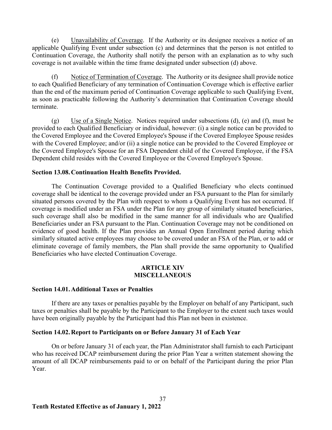(e) Unavailability of Coverage. If the Authority or its designee receives a notice of an applicable Qualifying Event under subsection (c) and determines that the person is not entitled to Continuation Coverage, the Authority shall notify the person with an explanation as to why such coverage is not available within the time frame designated under subsection (d) above.

Notice of Termination of Coverage. The Authority or its designee shall provide notice to each Qualified Beneficiary of any termination of Continuation Coverage which is effective earlier than the end of the maximum period of Continuation Coverage applicable to such Qualifying Event, as soon as practicable following the Authority's determination that Continuation Coverage should terminate.

(g) Use of a Single Notice. Notices required under subsections  $(d)$ , (e) and  $(f)$ , must be provided to each Qualified Beneficiary or individual, however: (i) a single notice can be provided to the Covered Employee and the Covered Employee's Spouse if the Covered Employee Spouse resides with the Covered Employee; and/or (ii) a single notice can be provided to the Covered Employee or the Covered Employee's Spouse for an FSA Dependent child of the Covered Employee, if the FSA Dependent child resides with the Covered Employee or the Covered Employee's Spouse.

## **Section 13.08.Continuation Health Benefits Provided.**

The Continuation Coverage provided to a Qualified Beneficiary who elects continued coverage shall be identical to the coverage provided under an FSA pursuant to the Plan for similarly situated persons covered by the Plan with respect to whom a Qualifying Event has not occurred. If coverage is modified under an FSA under the Plan for any group of similarly situated beneficiaries, such coverage shall also be modified in the same manner for all individuals who are Qualified Beneficiaries under an FSA pursuant to the Plan. Continuation Coverage may not be conditioned on evidence of good health. If the Plan provides an Annual Open Enrollment period during which similarly situated active employees may choose to be covered under an FSA of the Plan, or to add or eliminate coverage of family members, the Plan shall provide the same opportunity to Qualified Beneficiaries who have elected Continuation Coverage.

## **ARTICLE XIV MISCELLANEOUS**

### **Section 14.01.Additional Taxes or Penalties**

If there are any taxes or penalties payable by the Employer on behalf of any Participant, such taxes or penalties shall be payable by the Participant to the Employer to the extent such taxes would have been originally payable by the Participant had this Plan not been in existence.

### **Section 14.02.Report to Participants on or Before January 31 of Each Year**

On or before January 31 of each year, the Plan Administrator shall furnish to each Participant who has received DCAP reimbursement during the prior Plan Year a written statement showing the amount of all DCAP reimbursements paid to or on behalf of the Participant during the prior Plan Year.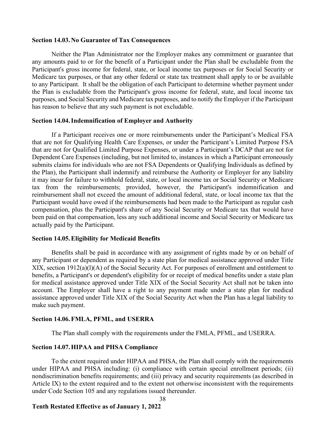### **Section 14.03.No Guarantee of Tax Consequences**

Neither the Plan Administrator nor the Employer makes any commitment or guarantee that any amounts paid to or for the benefit of a Participant under the Plan shall be excludable from the Participant's gross income for federal, state, or local income tax purposes or for Social Security or Medicare tax purposes, or that any other federal or state tax treatment shall apply to or be available to any Participant. It shall be the obligation of each Participant to determine whether payment under the Plan is excludable from the Participant's gross income for federal, state, and local income tax purposes, and Social Security and Medicare tax purposes, and to notify the Employer if the Participant has reason to believe that any such payment is not excludable.

### **Section 14.04.Indemnification of Employer and Authority**

If a Participant receives one or more reimbursements under the Participant's Medical FSA that are not for Qualifying Health Care Expenses, or under the Participant's Limited Purpose FSA that are not for Qualified Limited Purpose Expenses, or under a Participant's DCAP that are not for Dependent Care Expenses (including, but not limited to, instances in which a Participant erroneously submits claims for individuals who are not FSA Dependents or Qualifying Individuals as defined by the Plan), the Participant shall indemnify and reimburse the Authority or Employer for any liability it may incur for failure to withhold federal, state, or local income tax or Social Security or Medicare tax from the reimbursements; provided, however, the Participant's indemnification and reimbursement shall not exceed the amount of additional federal, state, or local income tax that the Participant would have owed if the reimbursements had been made to the Participant as regular cash compensation, plus the Participant's share of any Social Security or Medicare tax that would have been paid on that compensation, less any such additional income and Social Security or Medicare tax actually paid by the Participant.

### **Section 14.05.Eligibility for Medicaid Benefits**

Benefits shall be paid in accordance with any assignment of rights made by or on behalf of any Participant or dependent as required by a state plan for medical assistance approved under Title XIX, section 1912(a)(l)(A) of the Social Security Act. For purposes of enrollment and entitlement to benefits, a Participant's or dependent's eligibility for or receipt of medical benefits under a state plan for medical assistance approved under Title XIX of the Social Security Act shall not be taken into account. The Employer shall have a right to any payment made under a state plan for medical assistance approved under Title XIX of the Social Security Act when the Plan has a legal liability to make such payment.

## **Section 14.06.FMLA, PFML, and USERRA**

The Plan shall comply with the requirements under the FMLA, PFML, and USERRA.

### **Section 14.07.HIPAA and PHSA Compliance**

To the extent required under HIPAA and PHSA, the Plan shall comply with the requirements under HIPAA and PHSA including: (i) compliance with certain special enrollment periods; (ii) nondiscrimination benefits requirements; and (iii) privacy and security requirements (as described in Article IX) to the extent required and to the extent not otherwise inconsistent with the requirements under Code Section 105 and any regulations issued thereunder.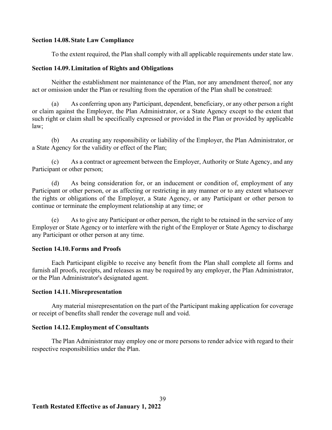### **Section 14.08. State Law Compliance**

To the extent required, the Plan shall comply with all applicable requirements under state law.

## **Section 14.09.Limitation of Rights and Obligations**

Neither the establishment nor maintenance of the Plan, nor any amendment thereof, nor any act or omission under the Plan or resulting from the operation of the Plan shall be construed:

(a) As conferring upon any Participant, dependent, beneficiary, or any other person a right or claim against the Employer, the Plan Administrator, or a State Agency except to the extent that such right or claim shall be specifically expressed or provided in the Plan or provided by applicable law;

(b) As creating any responsibility or liability of the Employer, the Plan Administrator, or a State Agency for the validity or effect of the Plan;

(c) As a contract or agreement between the Employer, Authority or State Agency, and any Participant or other person;

(d) As being consideration for, or an inducement or condition of, employment of any Participant or other person, or as affecting or restricting in any manner or to any extent whatsoever the rights or obligations of the Employer, a State Agency, or any Participant or other person to continue or terminate the employment relationship at any time; or

(e) As to give any Participant or other person, the right to be retained in the service of any Employer or State Agency or to interfere with the right of the Employer or State Agency to discharge any Participant or other person at any time.

# **Section 14.10.Forms and Proofs**

Each Participant eligible to receive any benefit from the Plan shall complete all forms and furnish all proofs, receipts, and releases as may be required by any employer, the Plan Administrator, or the Plan Administrator's designated agent.

# **Section 14.11.Misrepresentation**

Any material misrepresentation on the part of the Participant making application for coverage or receipt of benefits shall render the coverage null and void.

# **Section 14.12.Employment of Consultants**

The Plan Administrator may employ one or more persons to render advice with regard to their respective responsibilities under the Plan.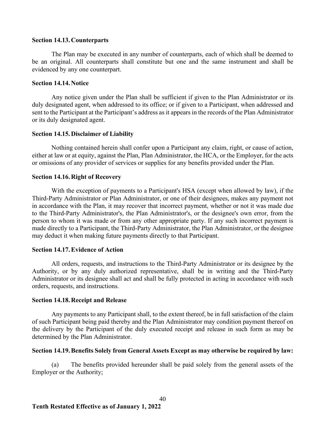### **Section 14.13.Counterparts**

The Plan may be executed in any number of counterparts, each of which shall be deemed to be an original. All counterparts shall constitute but one and the same instrument and shall be evidenced by any one counterpart.

### **Section 14.14.Notice**

Any notice given under the Plan shall be sufficient if given to the Plan Administrator or its duly designated agent, when addressed to its office; or if given to a Participant, when addressed and sent to the Participant at the Participant's address as it appears in the records of the Plan Administrator or its duly designated agent.

### **Section 14.15.Disclaimer of Liability**

Nothing contained herein shall confer upon a Participant any claim, right, or cause of action, either at law or at equity, against the Plan, Plan Administrator, the HCA, or the Employer, for the acts or omissions of any provider of services or supplies for any benefits provided under the Plan.

### **Section 14.16.Right of Recovery**

With the exception of payments to a Participant's HSA (except when allowed by law), if the Third-Party Administrator or Plan Administrator, or one of their designees, makes any payment not in accordance with the Plan, it may recover that incorrect payment, whether or not it was made due to the Third-Party Administrator's, the Plan Administrator's, or the designee's own error, from the person to whom it was made or from any other appropriate party. If any such incorrect payment is made directly to a Participant, the Third-Party Administrator, the Plan Administrator, or the designee may deduct it when making future payments directly to that Participant.

### **Section 14.17.Evidence of Action**

All orders, requests, and instructions to the Third-Party Administrator or its designee by the Authority, or by any duly authorized representative, shall be in writing and the Third-Party Administrator or its designee shall act and shall be fully protected in acting in accordance with such orders, requests, and instructions.

#### **Section 14.18.Receipt and Release**

Any payments to any Participant shall, to the extent thereof, be in full satisfaction of the claim of such Participant being paid thereby and the Plan Administrator may condition payment thereof on the delivery by the Participant of the duly executed receipt and release in such form as may be determined by the Plan Administrator.

### **Section 14.19.Benefits Solely from General Assets Except as may otherwise be required by law:**

(a) The benefits provided hereunder shall be paid solely from the general assets of the Employer or the Authority;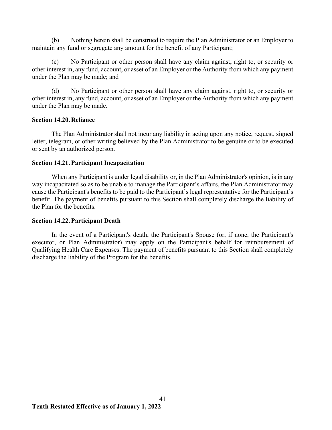(b) Nothing herein shall be construed to require the Plan Administrator or an Employer to maintain any fund or segregate any amount for the benefit of any Participant;

(c) No Participant or other person shall have any claim against, right to, or security or other interest in, any fund, account, or asset of an Employer or the Authority from which any payment under the Plan may be made; and

(d) No Participant or other person shall have any claim against, right to, or security or other interest in, any fund, account, or asset of an Employer or the Authority from which any payment under the Plan may be made.

# **Section 14.20.Reliance**

The Plan Administrator shall not incur any liability in acting upon any notice, request, signed letter, telegram, or other writing believed by the Plan Administrator to be genuine or to be executed or sent by an authorized person.

## **Section 14.21.Participant Incapacitation**

When any Participant is under legal disability or, in the Plan Administrator's opinion, is in any way incapacitated so as to be unable to manage the Participant's affairs, the Plan Administrator may cause the Participant's benefits to be paid to the Participant's legal representative for the Participant's benefit. The payment of benefits pursuant to this Section shall completely discharge the liability of the Plan for the benefits.

### **Section 14.22.Participant Death**

In the event of a Participant's death, the Participant's Spouse (or, if none, the Participant's executor, or Plan Administrator) may apply on the Participant's behalf for reimbursement of Qualifying Health Care Expenses. The payment of benefits pursuant to this Section shall completely discharge the liability of the Program for the benefits.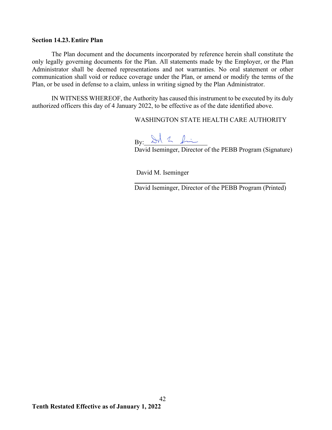# **Section 14.23.Entire Plan**

The Plan document and the documents incorporated by reference herein shall constitute the only legally governing documents for the Plan. All statements made by the Employer, or the Plan Administrator shall be deemed representations and not warranties. No oral statement or other communication shall void or reduce coverage under the Plan, or amend or modify the terms of the Plan, or be used in defense to a claim, unless in writing signed by the Plan Administrator.

IN WITNESS WHEREOF, the Authority has caused this instrument to be executed by its duly authorized officers this day of 4 January 2022, to be effective as of the date identified above.

WASHINGTON STATE HEALTH CARE AUTHORITY

By:

David Iseminger, Director of the PEBB Program (Signature)

David M. Iseminger

 $\overline{a}$ 

David Iseminger, Director of the PEBB Program (Printed)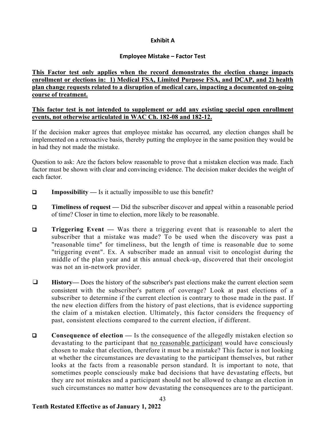# **Exhibit A**

# **Employee Mistake – Factor Test**

# **This Factor test only applies when the record demonstrates the election change impacts enrollment or elections in: 1) Medical FSA, Limited Purpose FSA, and DCAP, and 2) health plan change requests related to a disruption of medical care, impacting a documented on-going course of treatment.**

# **This factor test is not intended to supplement or add any existing special open enrollment events, not otherwise articulated in WAC Ch. 182-08 and 182-12.**

If the decision maker agrees that employee mistake has occurred, any election changes shall be implemented on a retroactive basis, thereby putting the employee in the same position they would be in had they not made the mistake.

Question to ask: Are the factors below reasonable to prove that a mistaken election was made. Each factor must be shown with clear and convincing evidence. The decision maker decides the weight of each factor.

- **Impossibility —** Is it actually impossible to use this benefit?
- **Timeliness of request** Did the subscriber discover and appeal within a reasonable period of time? Closer in time to election, more likely to be reasonable.
- **Triggering Event** Was there a triggering event that is reasonable to alert the subscriber that a mistake was made? To be used when the discovery was past a "reasonable time" for timeliness, but the length of time is reasonable due to some "triggering event". Ex. A subscriber made an annual visit to oncologist during the middle of the plan year and at this annual check-up, discovered that their oncologist was not an in-network provider.
- ❑ **History—** Does the history of the subscriber's past elections make the current election seem consistent with the subscriber's pattern of coverage? Look at past elections of a subscriber to determine if the current election is contrary to those made in the past. If the new election differs from the history of past elections, that is evidence supporting the claim of a mistaken election. Ultimately, this factor considers the frequency of past, consistent elections compared to the current election, if different.
- **Consequence of election** Is the consequence of the allegedly mistaken election so devastating to the participant that no reasonable participant would have consciously chosen to make that election, therefore it must be a mistake? This factor is not looking at whether the circumstances are devastating to the participant themselves, but rather looks at the facts from a reasonable person standard. It is important to note, that sometimes people consciously make bad decisions that have devastating effects, but they are not mistakes and a participant should not be allowed to change an election in such circumstances no matter how devastating the consequences are to the participant.